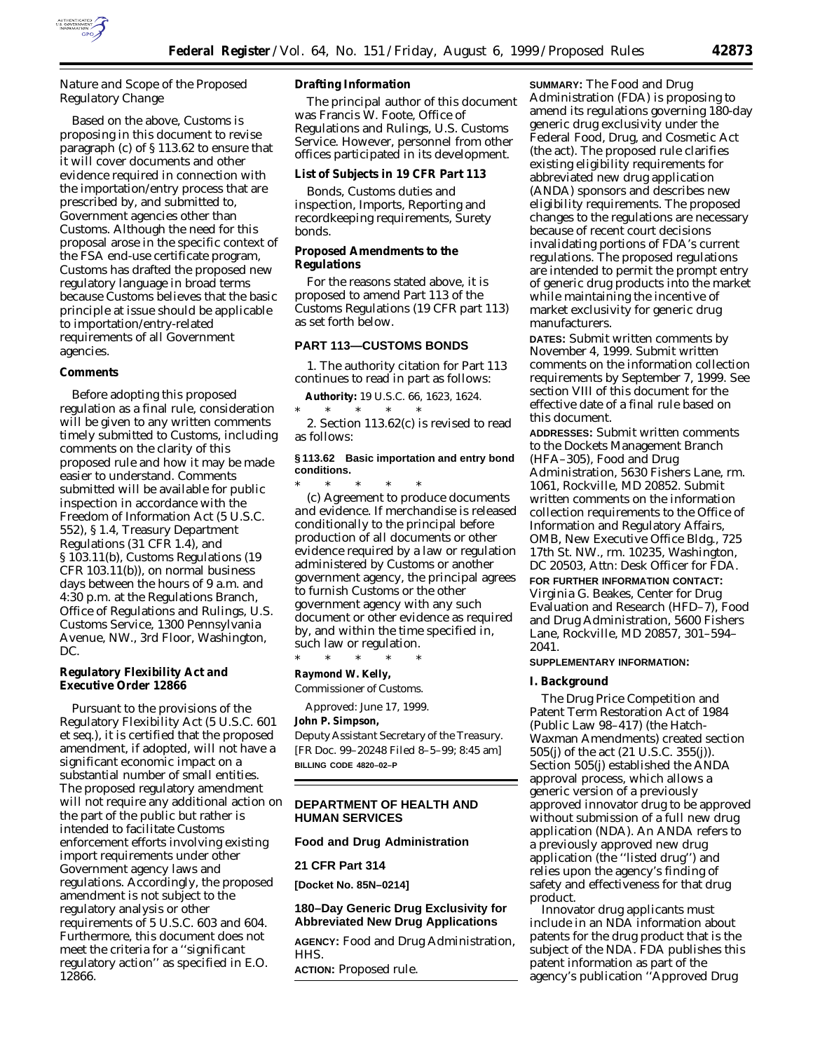

# *Nature and Scope of the Proposed Regulatory Change*

Based on the above, Customs is proposing in this document to revise paragraph (c) of § 113.62 to ensure that it will cover documents and other evidence required in connection with the importation/entry process that are prescribed by, and submitted to, Government agencies other than Customs. Although the need for this proposal arose in the specific context of the FSA end-use certificate program, Customs has drafted the proposed new regulatory language in broad terms because Customs believes that the basic principle at issue should be applicable to importation/entry-related requirements of all Government agencies.

## **Comments**

Before adopting this proposed regulation as a final rule, consideration will be given to any written comments timely submitted to Customs, including comments on the clarity of this proposed rule and how it may be made easier to understand. Comments submitted will be available for public inspection in accordance with the Freedom of Information Act (5 U.S.C. 552), § 1.4, Treasury Department Regulations (31 CFR 1.4), and § 103.11(b), Customs Regulations (19 CFR 103.11(b)), on normal business days between the hours of 9 a.m. and 4:30 p.m. at the Regulations Branch, Office of Regulations and Rulings, U.S. Customs Service, 1300 Pennsylvania Avenue, NW., 3rd Floor, Washington, DC.

### **Regulatory Flexibility Act and Executive Order 12866**

Pursuant to the provisions of the Regulatory Flexibility Act (5 U.S.C. 601 *et seq.*), it is certified that the proposed amendment, if adopted, will not have a significant economic impact on a substantial number of small entities. The proposed regulatory amendment will not require any additional action on the part of the public but rather is intended to facilitate Customs enforcement efforts involving existing import requirements under other Government agency laws and regulations. Accordingly, the proposed amendment is not subject to the regulatory analysis or other requirements of 5 U.S.C. 603 and 604. Furthermore, this document does not meet the criteria for a ''significant regulatory action'' as specified in E.O. 12866.

## **Drafting Information**

The principal author of this document was Francis W. Foote, Office of Regulations and Rulings, U.S. Customs Service. However, personnel from other offices participated in its development.

## **List of Subjects in 19 CFR Part 113**

Bonds, Customs duties and inspection, Imports, Reporting and recordkeeping requirements, Surety bonds.

## **Proposed Amendments to the Regulations**

For the reasons stated above, it is proposed to amend Part 113 of the Customs Regulations (19 CFR part 113) as set forth below.

## **PART 113—CUSTOMS BONDS**

1. The authority citation for Part 113 continues to read in part as follows:

**Authority:** 19 U.S.C. 66, 1623, 1624. \* \* \* \* \*

2. Section 113.62(c) is revised to read as follows:

### **§ 113.62 Basic importation and entry bond conditions.**

\* \* \* \* \* (c) *Agreement to produce documents and evidence.* If merchandise is released conditionally to the principal before production of all documents or other evidence required by a law or regulation administered by Customs or another government agency, the principal agrees to furnish Customs or the other government agency with any such document or other evidence as required by, and within the time specified in, such law or regulation.

\* \* \* \* \* **Raymond W. Kelly,**

*Commissioner of Customs.*

Approved: June 17, 1999.

### **John P. Simpson,**

*Deputy Assistant Secretary of the Treasury.* [FR Doc. 99–20248 Filed 8–5–99; 8:45 am] **BILLING CODE 4820–02–P**

### **DEPARTMENT OF HEALTH AND HUMAN SERVICES**

## **Food and Drug Administration**

**21 CFR Part 314**

**[Docket No. 85N–0214]**

## **180–Day Generic Drug Exclusivity for Abbreviated New Drug Applications**

**AGENCY:** Food and Drug Administration, HHS.

**ACTION:** Proposed rule.

**SUMMARY:** The Food and Drug Administration (FDA) is proposing to amend its regulations governing 180-day generic drug exclusivity under the Federal Food, Drug, and Cosmetic Act (the act). The proposed rule clarifies existing eligibility requirements for abbreviated new drug application (ANDA) sponsors and describes new eligibility requirements. The proposed changes to the regulations are necessary because of recent court decisions invalidating portions of FDA's current regulations. The proposed regulations are intended to permit the prompt entry of generic drug products into the market while maintaining the incentive of market exclusivity for generic drug manufacturers.

**DATES:** Submit written comments by November 4, 1999. Submit written comments on the information collection requirements by September 7, 1999. See section VIII of this document for the effective date of a final rule based on this document.

**ADDRESSES:** Submit written comments to the Dockets Management Branch (HFA–305), Food and Drug Administration, 5630 Fishers Lane, rm. 1061, Rockville, MD 20852. Submit written comments on the information collection requirements to the Office of Information and Regulatory Affairs, OMB, New Executive Office Bldg., 725 17th St. NW., rm. 10235, Washington, DC 20503, Attn: Desk Officer for FDA. **FOR FURTHER INFORMATION CONTACT:** Virginia G. Beakes, Center for Drug Evaluation and Research (HFD–7), Food and Drug Administration, 5600 Fishers Lane, Rockville, MD 20857, 301–594– 2041.

## **SUPPLEMENTARY INFORMATION:**

## **I. Background**

The Drug Price Competition and Patent Term Restoration Act of 1984 (Public Law 98–417) (the Hatch-Waxman Amendments) created section 505(j) of the act (21 U.S.C. 355(j)). Section 505(j) established the ANDA approval process, which allows a generic version of a previously approved innovator drug to be approved without submission of a full new drug application (NDA). An ANDA refers to a previously approved new drug application (the ''listed drug'') and relies upon the agency's finding of safety and effectiveness for that drug product.

Innovator drug applicants must include in an NDA information about patents for the drug product that is the subject of the NDA. FDA publishes this patent information as part of the agency's publication ''Approved Drug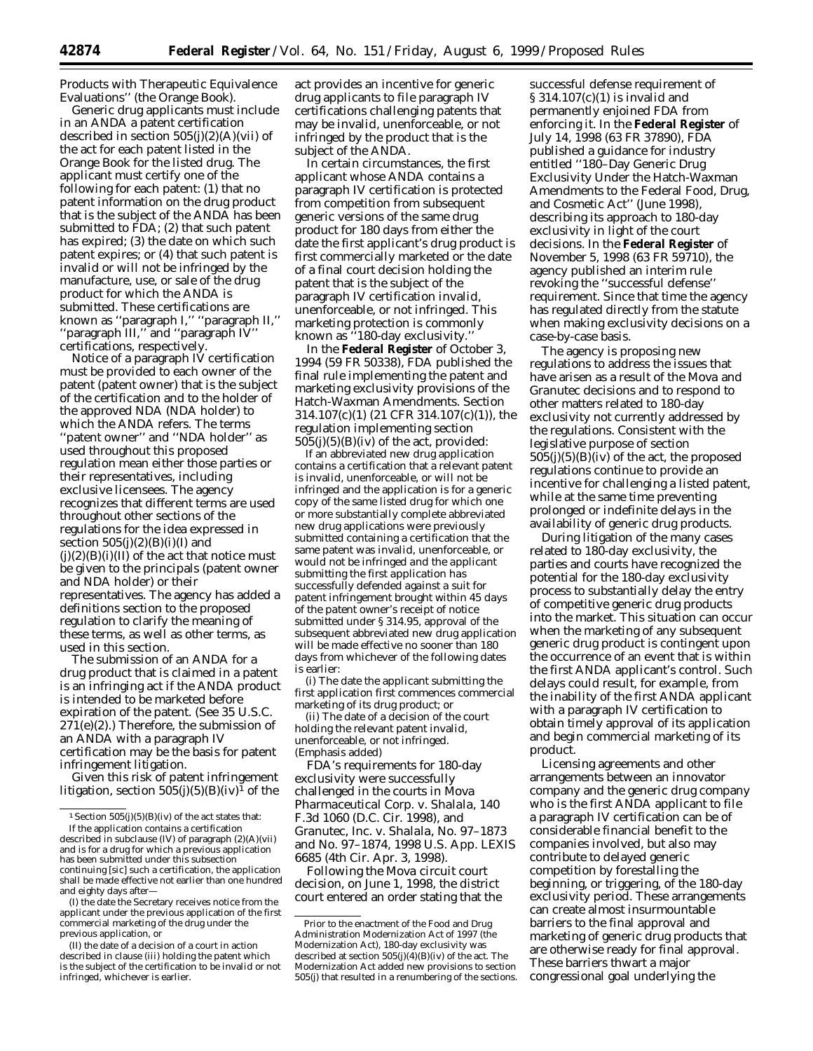Products with Therapeutic Equivalence Evaluations'' (the Orange Book).

Generic drug applicants must include in an ANDA a patent certification described in section  $505(j)(2)(A)(vii)$  of the act for each patent listed in the Orange Book for the listed drug. The applicant must certify one of the following for each patent: (1) that no patent information on the drug product that is the subject of the ANDA has been submitted to FDA; (2) that such patent has expired; (3) the date on which such patent expires; or (4) that such patent is invalid or will not be infringed by the manufacture, use, or sale of the drug product for which the ANDA is submitted. These certifications are known as ''paragraph I,'' ''paragraph II,'' ''paragraph III,'' and ''paragraph IV'' certifications, respectively.

Notice of a paragraph IV certification must be provided to each owner of the patent (patent owner) that is the subject of the certification and to the holder of the approved NDA (NDA holder) to which the ANDA refers. The terms ''patent owner'' and ''NDA holder'' as used throughout this proposed regulation mean either those parties or their representatives, including exclusive licensees. The agency recognizes that different terms are used throughout other sections of the regulations for the idea expressed in section  $505(i)(2)(B)(i)(I)$  and  $(j)(2)(B)(i)(II)$  of the act that notice must be given to the principals (patent owner and NDA holder) or their representatives. The agency has added a definitions section to the proposed regulation to clarify the meaning of these terms, as well as other terms, as used in this section.

The submission of an ANDA for a drug product that is claimed in a patent is an infringing act if the ANDA product is intended to be marketed before expiration of the patent. (See 35 U.S.C.  $271(e)(2)$ .) Therefore, the submission of an ANDA with a paragraph IV certification may be the basis for patent infringement litigation.

Given this risk of patent infringement litigation, section  $505(j)(5)(B)(iv)^1$  of the

(I) the date the Secretary receives notice from the applicant under the previous application of the first commercial marketing of the drug under the previous application, or

(II) the date of a decision of a court in action described in clause (iii) holding the patent which is the subject of the certification to be invalid or not infringed, whichever is earlier.

act provides an incentive for generic drug applicants to file paragraph IV certifications challenging patents that may be invalid, unenforceable, or not infringed by the product that is the subject of the ANDA.

In certain circumstances, the first applicant whose ANDA contains a paragraph IV certification is protected from competition from subsequent generic versions of the same drug product for 180 days from either the date the first applicant's drug product is first commercially marketed or the date of a final court decision holding the patent that is the subject of the paragraph IV certification invalid, unenforceable, or not infringed. This marketing protection is commonly known as ''180-day exclusivity.''

In the **Federal Register** of October 3, 1994 (59 FR 50338), FDA published the final rule implementing the patent and marketing exclusivity provisions of the Hatch-Waxman Amendments. Section 314.107(c)(1) (21 CFR 314.107(c)(1)), the regulation implementing section  $505(i)(5)(B)(iv)$  of the act, provided:

If an abbreviated new drug application contains a certification that a relevant patent is invalid, unenforceable, or will not be infringed and the application is for a generic copy of the same listed drug for which one or more substantially complete abbreviated new drug applications were previously submitted containing a certification that the same patent was invalid, unenforceable, or would not be infringed *and the applicant submitting the first application has successfully defended against a suit for patent infringement brought within 45 days of the patent owner's receipt of notice submitted under § 314.95*, approval of the subsequent abbreviated new drug application will be made effective no sooner than 180 days from whichever of the following dates is earlier:

(i) The date the applicant submitting the first application first commences commercial marketing of its drug product; or

(ii) The date of a decision of the court holding the relevant patent invalid, unenforceable, or not infringed. (Emphasis added)

FDA's requirements for 180-day exclusivity were successfully challenged in the courts in *Mova Pharmaceutical Corp.* v. *Shalala*, 140 F.3d 1060 (D.C. Cir. 1998), and *Granutec, Inc.* v. *Shalala,* No. 97–1873 and No. 97–1874, 1998 U.S. App. LEXIS 6685 (4th Cir. Apr. 3, 1998).

Following the *Mova* circuit court decision, on June 1, 1998, the district court entered an order stating that the

successful defense requirement of § 314.107(c)(1) is invalid and permanently enjoined FDA from enforcing it. In the **Federal Register** of July 14, 1998 (63 FR 37890), FDA published a guidance for industry entitled ''180–Day Generic Drug Exclusivity Under the Hatch-Waxman Amendments to the Federal Food, Drug, and Cosmetic Act'' (June 1998), describing its approach to 180-day exclusivity in light of the court decisions. In the **Federal Register** of November 5, 1998 (63 FR 59710), the agency published an interim rule revoking the ''successful defense'' requirement. Since that time the agency has regulated directly from the statute when making exclusivity decisions on a case-by-case basis.

The agency is proposing new regulations to address the issues that have arisen as a result of the *Mova* and *Granutec* decisions and to respond to other matters related to 180-day exclusivity not currently addressed by the regulations. Consistent with the legislative purpose of section  $505(j)(5)(B)(iv)$  of the act, the proposed regulations continue to provide an incentive for challenging a listed patent, while at the same time preventing prolonged or indefinite delays in the availability of generic drug products.

During litigation of the many cases related to 180-day exclusivity, the parties and courts have recognized the potential for the 180-day exclusivity process to substantially delay the entry of competitive generic drug products into the market. This situation can occur when the marketing of any subsequent generic drug product is contingent upon the occurrence of an event that is within the first ANDA applicant's control. Such delays could result, for example, from the inability of the first ANDA applicant with a paragraph IV certification to obtain timely approval of its application and begin commercial marketing of its product.

Licensing agreements and other arrangements between an innovator company and the generic drug company who is the first ANDA applicant to file a paragraph IV certification can be of considerable financial benefit to the companies involved, but also may contribute to delayed generic competition by forestalling the beginning, or triggering, of the 180-day exclusivity period. These arrangements can create almost insurmountable barriers to the final approval and marketing of generic drug products that are otherwise ready for final approval. These barriers thwart a major congressional goal underlying the

<sup>&</sup>lt;sup>1</sup> Section  $505(j)(5)(B)(iv)$  of the act states that: If the application contains a certification described in subclause (IV) of paragraph (2)(A)(vii) and is for a drug for which a previous application has been submitted under this subsection continuing [sic] such a certification, the application shall be made effective not earlier than one hundred and eighty days after—

Prior to the enactment of the Food and Drug Administration Modernization Act of 1997 (the Modernization Act), 180-day exclusivity was described at section  $505(j)(4)(B)(iv)$  of the act. The Modernization Act added new provisions to section 505(j) that resulted in a renumbering of the sections.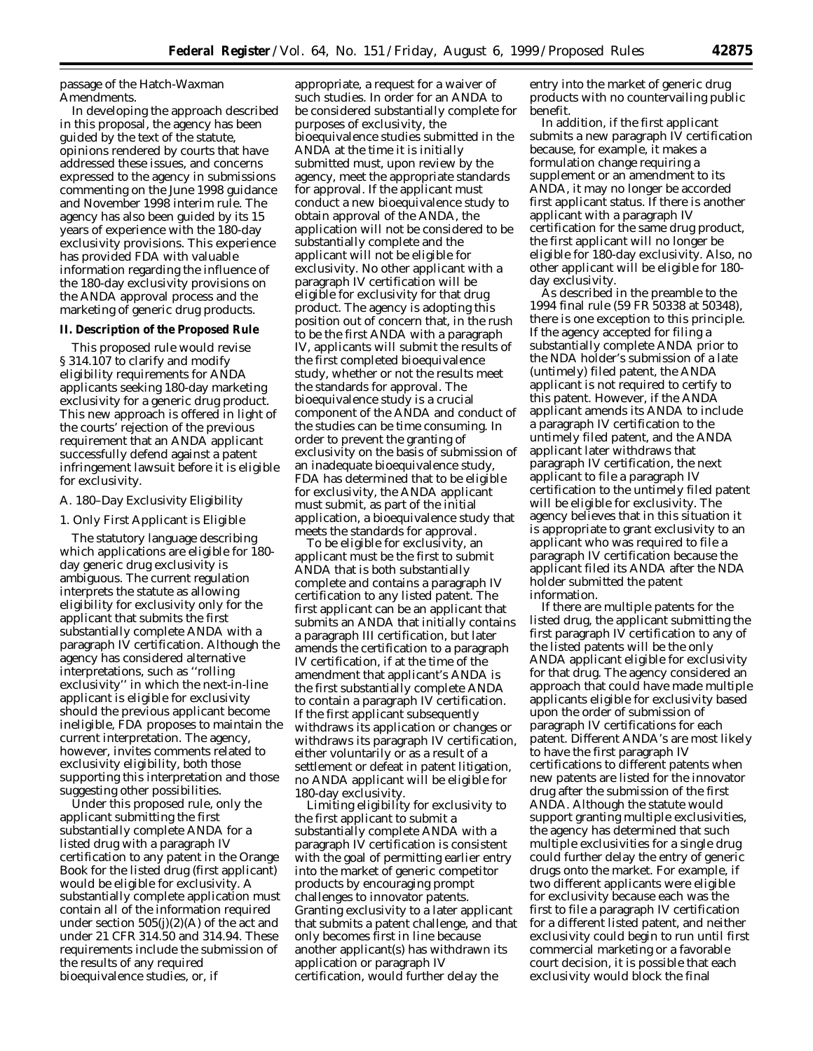passage of the Hatch-Waxman Amendments.

In developing the approach described in this proposal, the agency has been guided by the text of the statute, opinions rendered by courts that have addressed these issues, and concerns expressed to the agency in submissions commenting on the June 1998 guidance and November 1998 interim rule. The agency has also been guided by its 15 years of experience with the 180-day exclusivity provisions. This experience has provided FDA with valuable information regarding the influence of the 180-day exclusivity provisions on the ANDA approval process and the marketing of generic drug products.

### **II. Description of the Proposed Rule**

This proposed rule would revise § 314.107 to clarify and modify eligibility requirements for ANDA applicants seeking 180-day marketing exclusivity for a generic drug product. This new approach is offered in light of the courts' rejection of the previous requirement that an ANDA applicant successfully defend against a patent infringement lawsuit before it is eligible for exclusivity.

#### *A. 180–Day Exclusivity Eligibility*

#### 1. Only First Applicant is Eligible

The statutory language describing which applications are eligible for 180 day generic drug exclusivity is ambiguous. The current regulation interprets the statute as allowing eligibility for exclusivity only for the applicant that submits the first substantially complete ANDA with a paragraph IV certification. Although the agency has considered alternative interpretations, such as ''rolling exclusivity'' in which the next-in-line applicant is eligible for exclusivity should the previous applicant become ineligible, FDA proposes to maintain the current interpretation. The agency, however, invites comments related to exclusivity eligibility, both those supporting this interpretation and those suggesting other possibilities.

Under this proposed rule, only the applicant submitting the first substantially complete ANDA for a listed drug with a paragraph IV certification to any patent in the Orange Book for the listed drug (first applicant) would be eligible for exclusivity. A substantially complete application must contain all of the information required under section  $505(j)(2)(A)$  of the act and under 21 CFR 314.50 and 314.94. These requirements include the submission of the results of any required bioequivalence studies, or, if

appropriate, a request for a waiver of such studies. In order for an ANDA to be considered substantially complete for purposes of exclusivity, the bioequivalence studies submitted in the ANDA at the time it is initially submitted must, upon review by the agency, meet the appropriate standards for approval. If the applicant must conduct a new bioequivalence study to obtain approval of the ANDA, the application will not be considered to be substantially complete and the applicant will not be eligible for exclusivity. No other applicant with a paragraph IV certification will be eligible for exclusivity for that drug product. The agency is adopting this position out of concern that, in the rush to be the first ANDA with a paragraph IV, applicants will submit the results of the first completed bioequivalence study, whether or not the results meet the standards for approval. The bioequivalence study is a crucial component of the ANDA and conduct of the studies can be time consuming. In order to prevent the granting of exclusivity on the basis of submission of an inadequate bioequivalence study, FDA has determined that to be eligible for exclusivity, the ANDA applicant must submit, as part of the initial application, a bioequivalence study that meets the standards for approval.

To be eligible for exclusivity, an applicant must be the first to submit ANDA that is both substantially complete and contains a paragraph IV certification to any listed patent. The first applicant can be an applicant that submits an ANDA that initially contains a paragraph III certification, but later amends the certification to a paragraph IV certification, if at the time of the amendment that applicant's ANDA is the first substantially complete ANDA to contain a paragraph IV certification. If the first applicant subsequently withdraws its application or changes or withdraws its paragraph IV certification, either voluntarily or as a result of a settlement or defeat in patent litigation, no ANDA applicant will be eligible for 180-day exclusivity.

Limiting eligibility for exclusivity to the first applicant to submit a substantially complete ANDA with a paragraph IV certification is consistent with the goal of permitting earlier entry into the market of generic competitor products by encouraging prompt challenges to innovator patents. Granting exclusivity to a later applicant that submits a patent challenge, and that only becomes first in line because another applicant(s) has withdrawn its application or paragraph IV certification, would further delay the

entry into the market of generic drug products with no countervailing public benefit.

In addition, if the first applicant submits a new paragraph IV certification because, for example, it makes a formulation change requiring a supplement or an amendment to its ANDA, it may no longer be accorded first applicant status. If there is another applicant with a paragraph IV certification for the same drug product, the first applicant will no longer be eligible for 180-day exclusivity. Also, no other applicant will be eligible for 180 day exclusivity.

As described in the preamble to the 1994 final rule (59 FR 50338 at 50348), there is one exception to this principle. If the agency accepted for filing a substantially complete ANDA prior to the NDA holder's submission of a late (untimely) filed patent, the ANDA applicant is not required to certify to this patent. However, if the ANDA applicant amends its ANDA to include a paragraph IV certification to the untimely filed patent, and the ANDA applicant later withdraws that paragraph IV certification, the next applicant to file a paragraph IV certification to the untimely filed patent will be eligible for exclusivity. The agency believes that in this situation it is appropriate to grant exclusivity to an applicant who was required to file a paragraph IV certification because the applicant filed its ANDA after the NDA holder submitted the patent information.

If there are multiple patents for the listed drug, the applicant submitting the first paragraph IV certification to any of the listed patents will be the only ANDA applicant eligible for exclusivity for that drug. The agency considered an approach that could have made multiple applicants eligible for exclusivity based upon the order of submission of paragraph IV certifications for each patent. Different ANDA's are most likely to have the first paragraph IV certifications to different patents when new patents are listed for the innovator drug after the submission of the first ANDA. Although the statute would support granting multiple exclusivities, the agency has determined that such multiple exclusivities for a single drug could further delay the entry of generic drugs onto the market. For example, if two different applicants were eligible for exclusivity because each was the first to file a paragraph IV certification for a different listed patent, and neither exclusivity could begin to run until first commercial marketing or a favorable court decision, it is possible that each exclusivity would block the final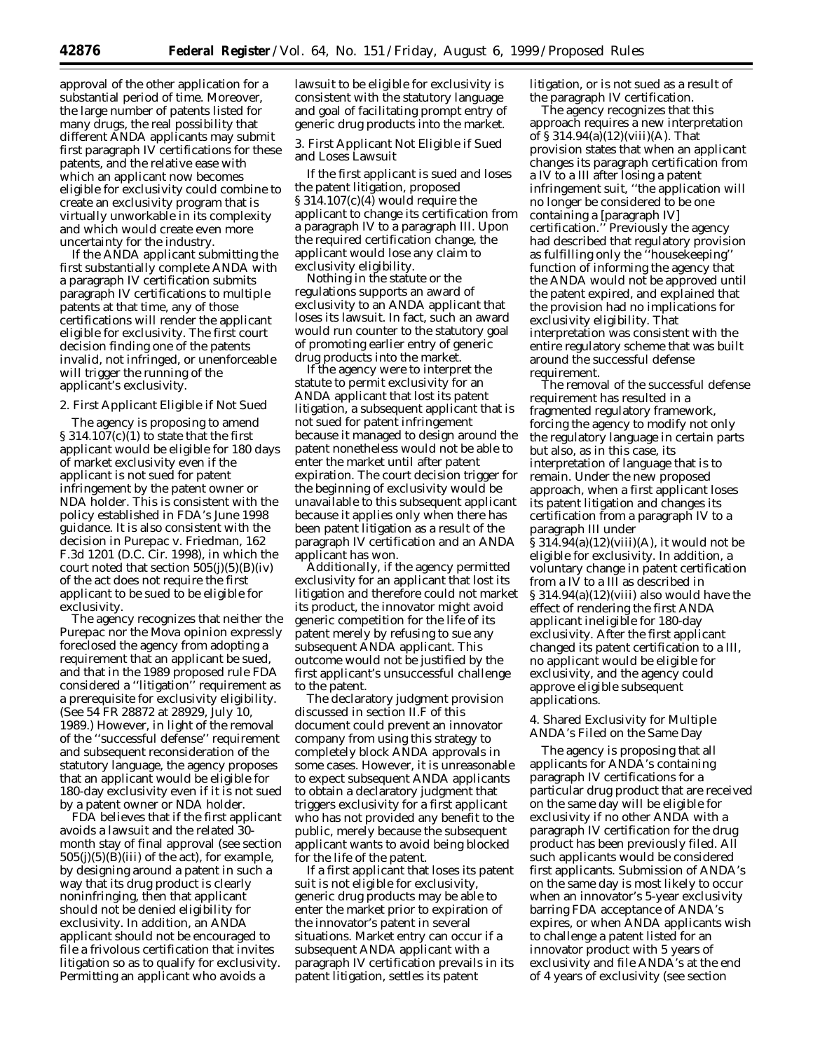approval of the other application for a substantial period of time. Moreover, the large number of patents listed for many drugs, the real possibility that different ANDA applicants may submit first paragraph IV certifications for these patents, and the relative ease with which an applicant now becomes eligible for exclusivity could combine to create an exclusivity program that is virtually unworkable in its complexity and which would create even more uncertainty for the industry.

If the ANDA applicant submitting the first substantially complete ANDA with a paragraph IV certification submits paragraph IV certifications to multiple patents at that time, any of those certifications will render the applicant eligible for exclusivity. The first court decision finding one of the patents invalid, not infringed, or unenforceable will trigger the running of the applicant's exclusivity.

### 2. First Applicant Eligible if Not Sued

The agency is proposing to amend § 314.107(c)(1) to state that the first applicant would be eligible for 180 days of market exclusivity even if the applicant is not sued for patent infringement by the patent owner or NDA holder. This is consistent with the policy established in FDA's June 1998 guidance. It is also consistent with the decision in *Purepac* v. *Friedman*, 162 F.3d 1201 (D.C. Cir. 1998), in which the court noted that section  $505(j)(5)(B)(iv)$ of the act does not require the first applicant to be sued to be eligible for exclusivity.

The agency recognizes that neither the *Purepac* nor the *Mova* opinion expressly foreclosed the agency from adopting a requirement that an applicant be sued, and that in the 1989 proposed rule FDA considered a ''litigation'' requirement as a prerequisite for exclusivity eligibility. (See 54 FR 28872 at 28929, July 10, 1989.) However, in light of the removal of the ''successful defense'' requirement and subsequent reconsideration of the statutory language, the agency proposes that an applicant would be eligible for 180-day exclusivity even if it is not sued by a patent owner or NDA holder.

FDA believes that if the first applicant avoids a lawsuit and the related 30 month stay of final approval (see section  $505(j)(5)(B)(iii)$  of the act), for example, by designing around a patent in such a way that its drug product is clearly noninfringing, then that applicant should not be denied eligibility for exclusivity. In addition, an ANDA applicant should not be encouraged to file a frivolous certification that invites litigation so as to qualify for exclusivity. Permitting an applicant who avoids a

lawsuit to be eligible for exclusivity is consistent with the statutory language and goal of facilitating prompt entry of generic drug products into the market.

3. First Applicant Not Eligible if Sued and Loses Lawsuit

If the first applicant is sued and loses the patent litigation, proposed § 314.107(c)(4) would require the applicant to change its certification from a paragraph IV to a paragraph III. Upon the required certification change, the applicant would lose any claim to exclusivity eligibility.

Nothing in the statute or the regulations supports an award of exclusivity to an ANDA applicant that loses its lawsuit. In fact, such an award would run counter to the statutory goal of promoting earlier entry of generic drug products into the market.

If the agency were to interpret the statute to permit exclusivity for an ANDA applicant that lost its patent litigation, a subsequent applicant that is not sued for patent infringement because it managed to design around the patent nonetheless would not be able to enter the market until after patent expiration. The court decision trigger for the beginning of exclusivity would be unavailable to this subsequent applicant because it applies only when there has been patent litigation as a result of the paragraph IV certification and an ANDA applicant has won.

Additionally, if the agency permitted exclusivity for an applicant that lost its litigation and therefore could not market its product, the innovator might avoid generic competition for the life of its patent merely by refusing to sue any subsequent ANDA applicant. This outcome would not be justified by the first applicant's unsuccessful challenge to the patent.

The declaratory judgment provision discussed in section II.F of this document could prevent an innovator company from using this strategy to completely block ANDA approvals in some cases. However, it is unreasonable to expect subsequent ANDA applicants to obtain a declaratory judgment that triggers exclusivity for a first applicant who has not provided any benefit to the public, merely because the subsequent applicant wants to avoid being blocked for the life of the patent.

If a first applicant that loses its patent suit is not eligible for exclusivity, generic drug products may be able to enter the market prior to expiration of the innovator's patent in several situations. Market entry can occur if a subsequent ANDA applicant with a paragraph IV certification prevails in its patent litigation, settles its patent

litigation, or is not sued as a result of the paragraph IV certification.

The agency recognizes that this approach requires a new interpretation of  $\S 314.94(a)(12)(viii)(A)$ . That provision states that when an applicant changes its paragraph certification from a IV to a III after losing a patent infringement suit, ''the application will no longer be considered to be one containing a [paragraph IV] certification.'' Previously the agency had described that regulatory provision as fulfilling only the ''housekeeping'' function of informing the agency that the ANDA would not be approved until the patent expired, and explained that the provision had no implications for exclusivity eligibility. That interpretation was consistent with the entire regulatory scheme that was built around the successful defense requirement.

The removal of the successful defense requirement has resulted in a fragmented regulatory framework, forcing the agency to modify not only the regulatory language in certain parts but also, as in this case, its interpretation of language that is to remain. Under the new proposed approach, when a first applicant loses its patent litigation and changes its certification from a paragraph IV to a paragraph III under  $\overline{\$314.94(a)(12)(viii)}$ (A), it would not be eligible for exclusivity. In addition, a voluntary change in patent certification from a IV to a III as described in § 314.94(a)(12)(viii) also would have the effect of rendering the first ANDA applicant ineligible for 180-day exclusivity. After the first applicant changed its patent certification to a III, no applicant would be eligible for exclusivity, and the agency could approve eligible subsequent applications.

4. Shared Exclusivity for Multiple ANDA's Filed on the Same Day

The agency is proposing that all applicants for ANDA's containing paragraph IV certifications for a particular drug product that are received on the same day will be eligible for exclusivity if no other ANDA with a paragraph IV certification for the drug product has been previously filed. All such applicants would be considered first applicants. Submission of ANDA's on the same day is most likely to occur when an innovator's 5-year exclusivity barring FDA acceptance of ANDA's expires, or when ANDA applicants wish to challenge a patent listed for an innovator product with 5 years of exclusivity and file ANDA's at the end of 4 years of exclusivity (see section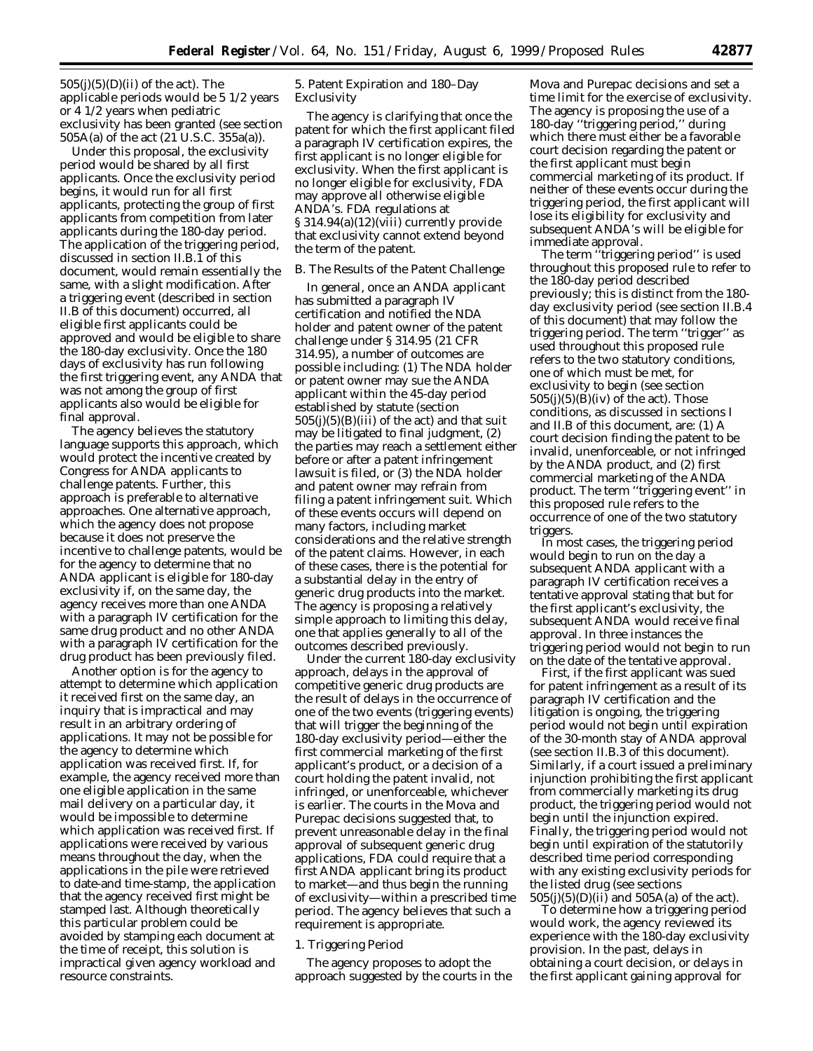$505(i)(5)(D)(ii)$  of the act). The applicable periods would be 5 1/2 years or 4 1/2 years when pediatric exclusivity has been granted (see section 505A(a) of the act (21 U.S.C. 355a(a)).

Under this proposal, the exclusivity period would be shared by all first applicants. Once the exclusivity period begins, it would run for all first applicants, protecting the group of first applicants from competition from later applicants during the 180-day period. The application of the triggering period, discussed in section II.B.1 of this document, would remain essentially the same, with a slight modification. After a triggering event (described in section II.B of this document) occurred, all eligible first applicants could be approved and would be eligible to share the 180-day exclusivity. Once the 180 days of exclusivity has run following the first triggering event, any ANDA that was not among the group of first applicants also would be eligible for final approval.

The agency believes the statutory language supports this approach, which would protect the incentive created by Congress for ANDA applicants to challenge patents. Further, this approach is preferable to alternative approaches. One alternative approach, which the agency does not propose because it does not preserve the incentive to challenge patents, would be for the agency to determine that no ANDA applicant is eligible for 180-day exclusivity if, on the same day, the agency receives more than one ANDA with a paragraph IV certification for the same drug product and no other ANDA with a paragraph IV certification for the drug product has been previously filed.

Another option is for the agency to attempt to determine which application it received first on the same day, an inquiry that is impractical and may result in an arbitrary ordering of applications. It may not be possible for the agency to determine which application was received first. If, for example, the agency received more than one eligible application in the same mail delivery on a particular day, it would be impossible to determine which application was received first. If applications were received by various means throughout the day, when the applications in the pile were retrieved to date-and time-stamp, the application that the agency received first might be stamped last. Although theoretically this particular problem could be avoided by stamping each document at the time of receipt, this solution is impractical given agency workload and resource constraints.

5. Patent Expiration and 180–Day Exclusivity

The agency is clarifying that once the patent for which the first applicant filed a paragraph IV certification expires, the first applicant is no longer eligible for exclusivity. When the first applicant is no longer eligible for exclusivity, FDA may approve all otherwise eligible ANDA's. FDA regulations at § 314.94(a)(12)(viii) currently provide that exclusivity cannot extend beyond the term of the patent.

### *B. The Results of the Patent Challenge*

In general, once an ANDA applicant has submitted a paragraph IV certification and notified the NDA holder and patent owner of the patent challenge under § 314.95 (21 CFR 314.95), a number of outcomes are possible including: (1) The NDA holder or patent owner may sue the ANDA applicant within the 45-day period established by statute (section  $505(i)(5)(B)(iii)$  of the act) and that suit may be litigated to final judgment, (2) the parties may reach a settlement either before or after a patent infringement lawsuit is filed, or (3) the NDA holder and patent owner may refrain from filing a patent infringement suit. Which of these events occurs will depend on many factors, including market considerations and the relative strength of the patent claims. However, in each of these cases, there is the potential for a substantial delay in the entry of generic drug products into the market. The agency is proposing a relatively simple approach to limiting this delay, one that applies generally to all of the outcomes described previously.

Under the current 180-day exclusivity approach, delays in the approval of competitive generic drug products are the result of delays in the occurrence of one of the two events (triggering events) that will trigger the beginning of the 180-day exclusivity period—either the first commercial marketing of the first applicant's product, or a decision of a court holding the patent invalid, not infringed, or unenforceable, whichever is earlier. The courts in the *Mova* and *Purepac* decisions suggested that, to prevent unreasonable delay in the final approval of subsequent generic drug applications, FDA could require that a first ANDA applicant bring its product to market—and thus begin the running of exclusivity—within a prescribed time period. The agency believes that such a requirement is appropriate.

## 1. Triggering Period

The agency proposes to adopt the approach suggested by the courts in the

*Mova* and *Purepac* decisions and set a time limit for the exercise of exclusivity. The agency is proposing the use of a 180-day ''triggering period,'' during which there must either be a favorable court decision regarding the patent or the first applicant must begin commercial marketing of its product. If neither of these events occur during the triggering period, the first applicant will lose its eligibility for exclusivity and subsequent ANDA's will be eligible for immediate approval.

The term ''triggering period'' is used throughout this proposed rule to refer to the 180-day period described previously; this is distinct from the 180 day exclusivity period (see section II.B.4 of this document) that may follow the triggering period. The term ''trigger'' as used throughout this proposed rule refers to the two statutory conditions, one of which must be met, for exclusivity to begin (see section  $505(j)(5)(B)(iv)$  of the act). Those conditions, as discussed in sections I and II.B of this document, are: (1) A court decision finding the patent to be invalid, unenforceable, or not infringed by the ANDA product, and (2) first commercial marketing of the ANDA product. The term ''triggering event'' in this proposed rule refers to the occurrence of one of the two statutory triggers.

In most cases, the triggering period would begin to run on the day a subsequent ANDA applicant with a paragraph IV certification receives a tentative approval stating that but for the first applicant's exclusivity, the subsequent ANDA would receive final approval. In three instances the triggering period would not begin to run on the date of the tentative approval.

First, if the first applicant was sued for patent infringement as a result of its paragraph IV certification and the litigation is ongoing, the triggering period would not begin until expiration of the 30-month stay of ANDA approval (see section II.B.3 of this document). Similarly, if a court issued a preliminary injunction prohibiting the first applicant from commercially marketing its drug product, the triggering period would not begin until the injunction expired. Finally, the triggering period would not begin until expiration of the statutorily described time period corresponding with any existing exclusivity periods for the listed drug (see sections  $505(j)(5)(D)(ii)$  and  $505A(a)$  of the act).

To determine how a triggering period would work, the agency reviewed its experience with the 180-day exclusivity provision. In the past, delays in obtaining a court decision, or delays in the first applicant gaining approval for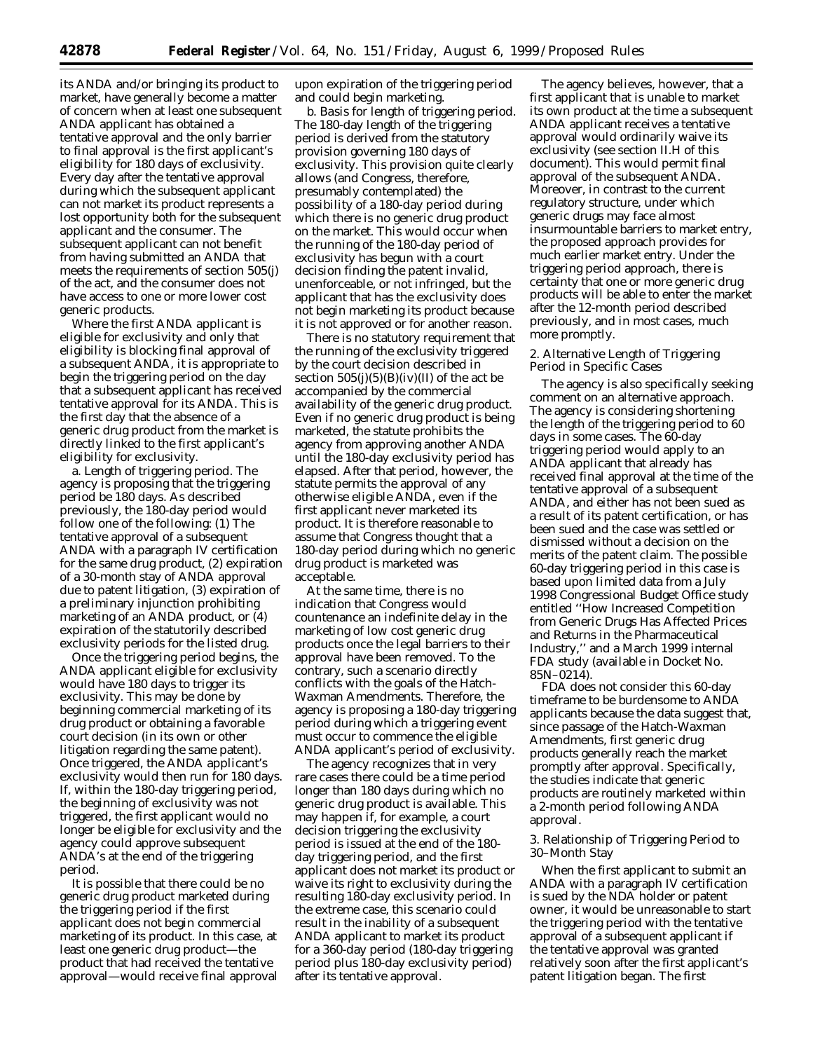its ANDA and/or bringing its product to market, have generally become a matter of concern when at least one subsequent ANDA applicant has obtained a tentative approval and the only barrier to final approval is the first applicant's eligibility for 180 days of exclusivity. Every day after the tentative approval during which the subsequent applicant can not market its product represents a lost opportunity both for the subsequent applicant and the consumer. The subsequent applicant can not benefit from having submitted an ANDA that meets the requirements of section 505(j) of the act, and the consumer does not have access to one or more lower cost generic products.

Where the first ANDA applicant is eligible for exclusivity and only that eligibility is blocking final approval of a subsequent ANDA, it is appropriate to begin the triggering period on the day that a subsequent applicant has received tentative approval for its ANDA. This is the first day that the absence of a generic drug product from the market is directly linked to the first applicant's eligibility for exclusivity.

a. *Length of triggering period*. The agency is proposing that the triggering period be 180 days. As described previously, the 180-day period would follow one of the following: (1) The tentative approval of a subsequent ANDA with a paragraph IV certification for the same drug product, (2) expiration of a 30-month stay of ANDA approval due to patent litigation, (3) expiration of a preliminary injunction prohibiting marketing of an ANDA product, or (4) expiration of the statutorily described exclusivity periods for the listed drug.

Once the triggering period begins, the ANDA applicant eligible for exclusivity would have 180 days to trigger its exclusivity. This may be done by beginning commercial marketing of its drug product or obtaining a favorable court decision (in its own or other litigation regarding the same patent). Once triggered, the ANDA applicant's exclusivity would then run for 180 days. If, within the 180-day triggering period, the beginning of exclusivity was not triggered, the first applicant would no longer be eligible for exclusivity and the agency could approve subsequent ANDA's at the end of the triggering period.

It is possible that there could be no generic drug product marketed during the triggering period if the first applicant does not begin commercial marketing of its product. In this case, at least one generic drug product—the product that had received the tentative approval—would receive final approval upon expiration of the triggering period and could begin marketing.

b. *Basis for length of triggering period*. The 180-day length of the triggering period is derived from the statutory provision governing 180 days of exclusivity. This provision quite clearly allows (and Congress, therefore, presumably contemplated) the possibility of a 180-day period during which there is no generic drug product on the market. This would occur when the running of the 180-day period of exclusivity has begun with a court decision finding the patent invalid, unenforceable, or not infringed, but the applicant that has the exclusivity does not begin marketing its product because it is not approved or for another reason.

There is no statutory requirement that the running of the exclusivity triggered by the court decision described in section  $505(j)(5)(B)(iv)(II)$  of the act be accompanied by the commercial availability of the generic drug product. Even if no generic drug product is being marketed, the statute prohibits the agency from approving another ANDA until the 180-day exclusivity period has elapsed. After that period, however, the statute permits the approval of any otherwise eligible ANDA, even if the first applicant never marketed its product. It is therefore reasonable to assume that Congress thought that a 180-day period during which no generic drug product is marketed was acceptable.

At the same time, there is no indication that Congress would countenance an indefinite delay in the marketing of low cost generic drug products once the legal barriers to their approval have been removed. To the contrary, such a scenario directly conflicts with the goals of the Hatch-Waxman Amendments. Therefore, the agency is proposing a 180-day triggering period during which a triggering event must occur to commence the eligible ANDA applicant's period of exclusivity.

The agency recognizes that in very rare cases there could be a time period longer than 180 days during which no generic drug product is available. This may happen if, for example, a court decision triggering the exclusivity period is issued at the end of the 180 day triggering period, and the first applicant does not market its product or waive its right to exclusivity during the resulting 180-day exclusivity period. In the extreme case, this scenario could result in the inability of a subsequent ANDA applicant to market its product for a 360-day period (180-day triggering period plus 180-day exclusivity period) after its tentative approval.

The agency believes, however, that a first applicant that is unable to market its own product at the time a subsequent ANDA applicant receives a tentative approval would ordinarily waive its exclusivity (see section II.H of this document). This would permit final approval of the subsequent ANDA. Moreover, in contrast to the current regulatory structure, under which generic drugs may face almost insurmountable barriers to market entry, the proposed approach provides for much earlier market entry. Under the triggering period approach, there is certainty that one or more generic drug products will be able to enter the market after the 12-month period described previously, and in most cases, much more promptly.

2. Alternative Length of Triggering Period in Specific Cases

The agency is also specifically seeking comment on an alternative approach. The agency is considering shortening the length of the triggering period to 60 days in some cases. The 60-day triggering period would apply to an ANDA applicant that already has received final approval at the time of the tentative approval of a subsequent ANDA, and either has not been sued as a result of its patent certification, or has been sued and the case was settled or dismissed without a decision on the merits of the patent claim. The possible 60-day triggering period in this case is based upon limited data from a July 1998 Congressional Budget Office study entitled ''How Increased Competition from Generic Drugs Has Affected Prices and Returns in the Pharmaceutical Industry,'' and a March 1999 internal FDA study (available in Docket No. 85N–0214).

FDA does not consider this 60-day timeframe to be burdensome to ANDA applicants because the data suggest that, since passage of the Hatch-Waxman Amendments, first generic drug products generally reach the market promptly after approval. Specifically, the studies indicate that generic products are routinely marketed within a 2-month period following ANDA approval.

## 3. Relationship of Triggering Period to 30–Month Stay

When the first applicant to submit an ANDA with a paragraph IV certification is sued by the NDA holder or patent owner, it would be unreasonable to start the triggering period with the tentative approval of a subsequent applicant if the tentative approval was granted relatively soon after the first applicant's patent litigation began. The first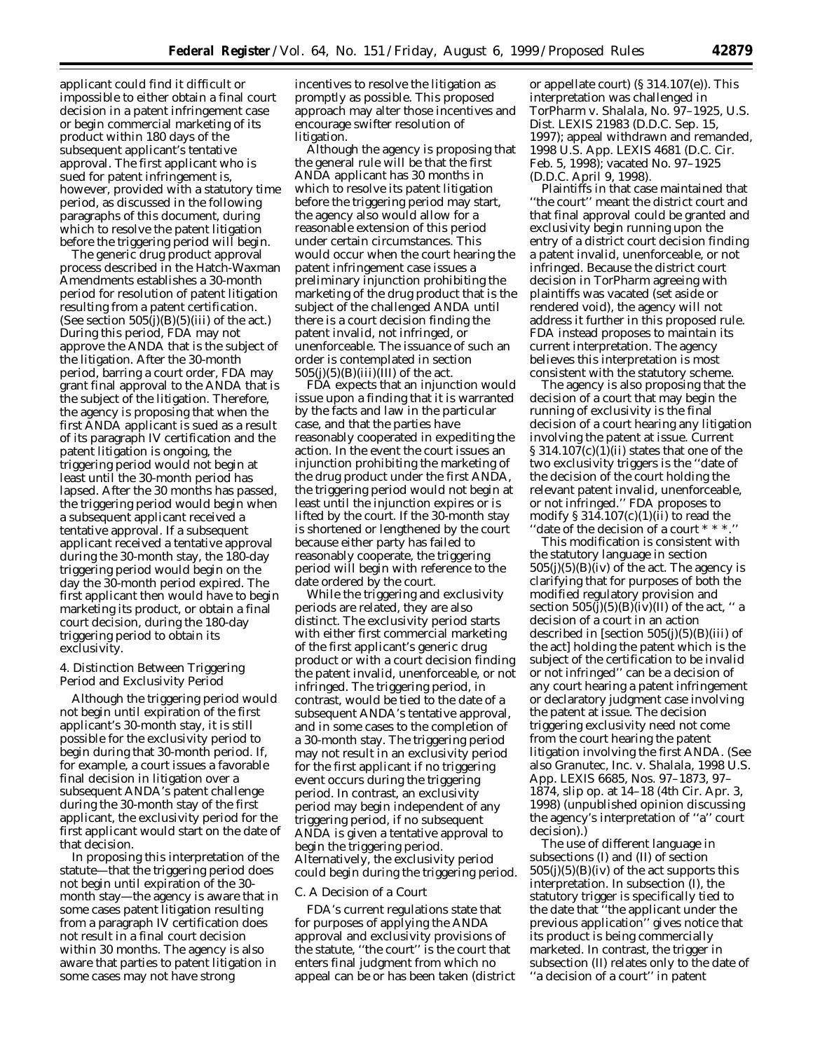applicant could find it difficult or impossible to either obtain a final court decision in a patent infringement case or begin commercial marketing of its product within 180 days of the subsequent applicant's tentative approval. The first applicant who is sued for patent infringement is, however, provided with a statutory time period, as discussed in the following paragraphs of this document, during which to resolve the patent litigation before the triggering period will begin.

The generic drug product approval process described in the Hatch-Waxman Amendments establishes a 30-month period for resolution of patent litigation resulting from a patent certification. (See section  $505(j)(B)(5)(iii)$  of the act.) During this period, FDA may not approve the ANDA that is the subject of the litigation. After the 30-month period, barring a court order, FDA may grant final approval to the ANDA that is the subject of the litigation. Therefore, the agency is proposing that when the first ANDA applicant is sued as a result of its paragraph IV certification and the patent litigation is ongoing, the triggering period would not begin at least until the 30-month period has lapsed. After the 30 months has passed, the triggering period would begin when a subsequent applicant received a tentative approval. If a subsequent applicant received a tentative approval during the 30-month stay, the 180-day triggering period would begin on the day the 30-month period expired. The first applicant then would have to begin marketing its product, or obtain a final court decision, during the 180-day triggering period to obtain its exclusivity.

### 4. Distinction Between Triggering Period and Exclusivity Period

Although the triggering period would not begin until expiration of the first applicant's 30-month stay, it is still possible for the exclusivity period to begin during that 30-month period. If, for example, a court issues a favorable final decision in litigation over a subsequent ANDA's patent challenge during the 30-month stay of the first applicant, the exclusivity period for the first applicant would start on the date of that decision.

In proposing this interpretation of the statute—that the triggering period does not begin until expiration of the 30 month stay—the agency is aware that in some cases patent litigation resulting from a paragraph IV certification does not result in a final court decision within 30 months. The agency is also aware that parties to patent litigation in some cases may not have strong

incentives to resolve the litigation as promptly as possible. This proposed approach may alter those incentives and encourage swifter resolution of litigation.

Although the agency is proposing that the general rule will be that the first ANDA applicant has 30 months in which to resolve its patent litigation before the triggering period may start, the agency also would allow for a reasonable extension of this period under certain circumstances. This would occur when the court hearing the patent infringement case issues a preliminary injunction prohibiting the marketing of the drug product that is the subject of the challenged ANDA until there is a court decision finding the patent invalid, not infringed, or unenforceable. The issuance of such an order is contemplated in section  $505(j)(5)(B)(iii)(III)$  of the act.

FDA expects that an injunction would issue upon a finding that it is warranted by the facts and law in the particular case, and that the parties have reasonably cooperated in expediting the action. In the event the court issues an injunction prohibiting the marketing of the drug product under the first ANDA, the triggering period would not begin at least until the injunction expires or is lifted by the court. If the 30-month stay is shortened or lengthened by the court because either party has failed to reasonably cooperate, the triggering period will begin with reference to the date ordered by the court.

While the triggering and exclusivity periods are related, they are also distinct. The exclusivity period starts with either first commercial marketing of the first applicant's generic drug product or with a court decision finding the patent invalid, unenforceable, or not infringed. The triggering period, in contrast, would be tied to the date of a subsequent ANDA's tentative approval, and in some cases to the completion of a 30-month stay. The triggering period may not result in an exclusivity period for the first applicant if no triggering event occurs during the triggering period. In contrast, an exclusivity period may begin independent of any triggering period, if no subsequent ANDA is given a tentative approval to begin the triggering period. Alternatively, the exclusivity period could begin during the triggering period.

#### *C. A Decision of a Court*

FDA's current regulations state that for purposes of applying the ANDA approval and exclusivity provisions of the statute, ''the court'' is the court that enters final judgment from which no appeal can be or has been taken (district

or appellate court) (§ 314.107(e)). This interpretation was challenged in *TorPharm* v. *Shalala*, No. 97–1925, U.S. Dist. LEXIS 21983 (D.D.C. Sep. 15, 1997); appeal withdrawn and remanded, 1998 U.S. App. LEXIS 4681 (D.C. Cir. Feb. 5, 1998); vacated No. 97–1925 (D.D.C. April 9, 1998).

Plaintiffs in that case maintained that ''the court'' meant the district court and that final approval could be granted and exclusivity begin running upon the entry of a district court decision finding a patent invalid, unenforceable, or not infringed. Because the district court decision in *TorPharm* agreeing with plaintiffs was vacated (set aside or rendered void), the agency will not address it further in this proposed rule. FDA instead proposes to maintain its current interpretation. The agency believes this interpretation is most consistent with the statutory scheme.

The agency is also proposing that the decision of a court that may begin the running of exclusivity is the final decision of a court hearing any litigation involving the patent at issue. Current  $\S 314.107(c)(1)(ii)$  states that one of the two exclusivity triggers is the ''date of the decision of the court holding the relevant patent invalid, unenforceable, or not infringed.'' FDA proposes to modify § 314.107(c)(1)(ii) to read the ''date of the decision of a court \* \* \*.''

This modification is consistent with the statutory language in section  $505(j)(5)(B)(iv)$  of the act. The agency is clarifying that for purposes of both the modified regulatory provision and section  $505(j)(5)(B)(iv)(II)$  of the act, " a decision of a court in an action described in [section  $505(j)(5)(B)(iii)$  of the act] holding the patent which is the subject of the certification to be invalid or not infringed'' can be a decision of any court hearing a patent infringement or declaratory judgment case involving the patent at issue. The decision triggering exclusivity need not come from the court hearing the patent litigation involving the first ANDA. (See also *Granutec, Inc*. v. *Shalala*, 1998 U.S. App. LEXIS 6685, Nos. 97–1873, 97– 1874, slip op. at 14–18 (4th Cir. Apr. 3, 1998) (unpublished opinion discussing the agency's interpretation of ''a'' court decision).)

The use of different language in subsections (I) and (II) of section  $505(j)(5)(B)(iv)$  of the act supports this interpretation. In subsection (I), the statutory trigger is specifically tied to the date that ''the applicant under the previous application'' gives notice that its product is being commercially marketed. In contrast, the trigger in subsection (II) relates only to the date of ''a decision of a court'' in patent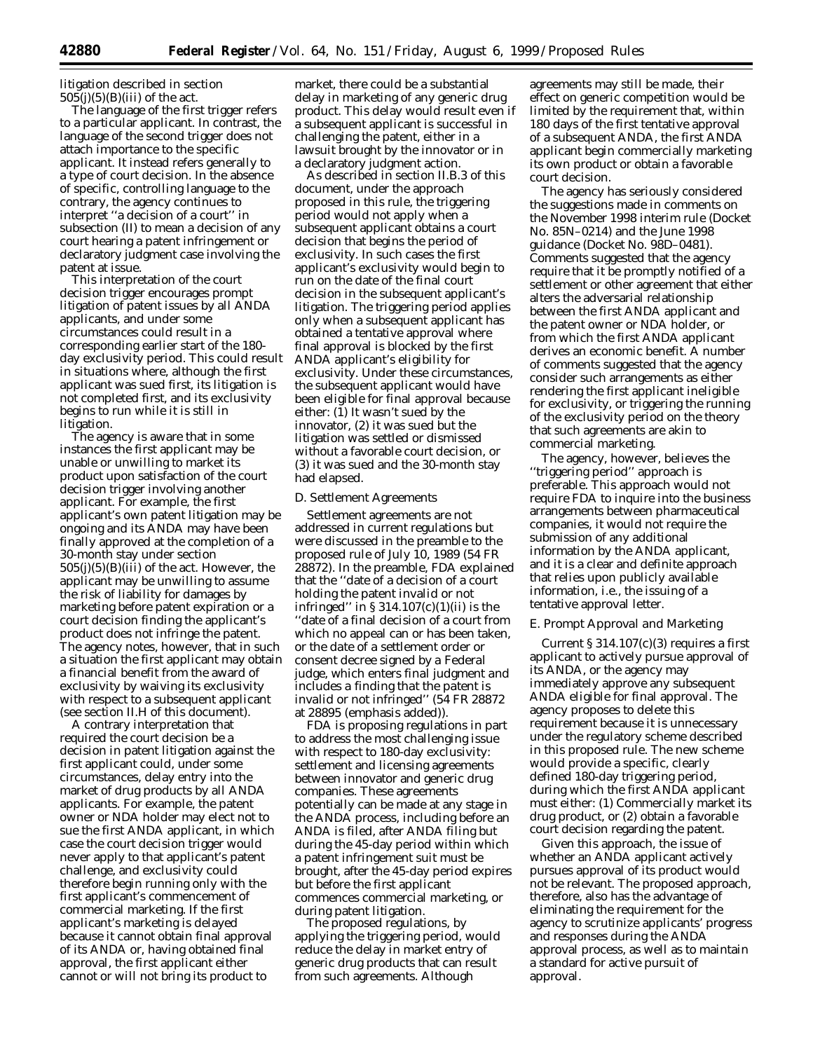litigation described in section  $505(j)(5)(B)(iii)$  of the act.

The language of the first trigger refers to a particular applicant. In contrast, the language of the second trigger does not attach importance to the specific applicant. It instead refers generally to a type of court decision. In the absence of specific, controlling language to the contrary, the agency continues to interpret ''a decision of a court'' in subsection (II) to mean a decision of any court hearing a patent infringement or declaratory judgment case involving the patent at issue.

This interpretation of the court decision trigger encourages prompt litigation of patent issues by all ANDA applicants, and under some circumstances could result in a corresponding earlier start of the 180 day exclusivity period. This could result in situations where, although the first applicant was sued first, its litigation is not completed first, and its exclusivity begins to run while it is still in litigation.

The agency is aware that in some instances the first applicant may be unable or unwilling to market its product upon satisfaction of the court decision trigger involving another applicant. For example, the first applicant's own patent litigation may be ongoing and its ANDA may have been finally approved at the completion of a 30-month stay under section  $505(j)(5)(B)(iii)$  of the act. However, the applicant may be unwilling to assume the risk of liability for damages by marketing before patent expiration or a court decision finding the applicant's product does not infringe the patent. The agency notes, however, that in such a situation the first applicant may obtain a financial benefit from the award of exclusivity by waiving its exclusivity with respect to a subsequent applicant (see section II.H of this document).

A contrary interpretation that required the court decision be a decision in patent litigation against the first applicant could, under some circumstances, delay entry into the market of drug products by all ANDA applicants. For example, the patent owner or NDA holder may elect not to sue the first ANDA applicant, in which case the court decision trigger would never apply to that applicant's patent challenge, and exclusivity could therefore begin running only with the first applicant's commencement of commercial marketing. If the first applicant's marketing is delayed because it cannot obtain final approval of its ANDA or, having obtained final approval, the first applicant either cannot or will not bring its product to

market, there could be a substantial delay in marketing of any generic drug product. This delay would result even if a subsequent applicant is successful in challenging the patent, either in a lawsuit brought by the innovator or in a declaratory judgment action.

As described in section II.B.3 of this document, under the approach proposed in this rule, the triggering period would not apply when a subsequent applicant obtains a court decision that begins the period of exclusivity. In such cases the first applicant's exclusivity would begin to run on the date of the final court decision in the subsequent applicant's litigation. The triggering period applies only when a subsequent applicant has obtained a tentative approval where final approval is blocked by the first ANDA applicant's eligibility for exclusivity. Under these circumstances, the subsequent applicant would have been eligible for final approval because either: (1) It wasn't sued by the innovator, (2) it was sued but the litigation was settled or dismissed without a favorable court decision, or (3) it was sued and the 30-month stay had elapsed.

### *D. Settlement Agreements*

Settlement agreements are not addressed in current regulations but were discussed in the preamble to the proposed rule of July 10, 1989 (54 FR 28872). In the preamble, FDA explained that the ''date of a decision of a court holding the patent invalid or not infringed" in  $\S 314.107(c)(1)(ii)$  is the ''date of a final decision of a court from which no appeal can or has been taken, or the *date of a settlement order or consent decree signed by a Federal judge, which enters final judgment and includes a finding that the patent is invalid or not infringed*'' (54 FR 28872 at 28895 (emphasis added)).

FDA is proposing regulations in part to address the most challenging issue with respect to 180-day exclusivity: settlement and licensing agreements between innovator and generic drug companies. These agreements potentially can be made at any stage in the ANDA process, including before an ANDA is filed, after ANDA filing but during the 45-day period within which a patent infringement suit must be brought, after the 45-day period expires but before the first applicant commences commercial marketing, or during patent litigation.

The proposed regulations, by applying the triggering period, would reduce the delay in market entry of generic drug products that can result from such agreements. Although

agreements may still be made, their effect on generic competition would be limited by the requirement that, within 180 days of the first tentative approval of a subsequent ANDA, the first ANDA applicant begin commercially marketing its own product or obtain a favorable court decision.

The agency has seriously considered the suggestions made in comments on the November 1998 interim rule (Docket No. 85N–0214) and the June 1998 guidance (Docket No. 98D–0481). Comments suggested that the agency require that it be promptly notified of a settlement or other agreement that either alters the adversarial relationship between the first ANDA applicant and the patent owner or NDA holder, or from which the first ANDA applicant derives an economic benefit. A number of comments suggested that the agency consider such arrangements as either rendering the first applicant ineligible for exclusivity, or triggering the running of the exclusivity period on the theory that such agreements are akin to commercial marketing.

The agency, however, believes the ''triggering period'' approach is preferable. This approach would not require FDA to inquire into the business arrangements between pharmaceutical companies, it would not require the submission of any additional information by the ANDA applicant, and it is a clear and definite approach that relies upon publicly available information, i.e., the issuing of a tentative approval letter.

### *E. Prompt Approval and Marketing*

Current  $\S 314.107(c)(3)$  requires a first applicant to actively pursue approval of its ANDA, or the agency may immediately approve any subsequent ANDA eligible for final approval. The agency proposes to delete this requirement because it is unnecessary under the regulatory scheme described in this proposed rule. The new scheme would provide a specific, clearly defined 180-day triggering period, during which the first ANDA applicant must either: (1) Commercially market its drug product, or (2) obtain a favorable court decision regarding the patent.

Given this approach, the issue of whether an ANDA applicant actively pursues approval of its product would not be relevant. The proposed approach, therefore, also has the advantage of eliminating the requirement for the agency to scrutinize applicants' progress and responses during the ANDA approval process, as well as to maintain a standard for active pursuit of approval.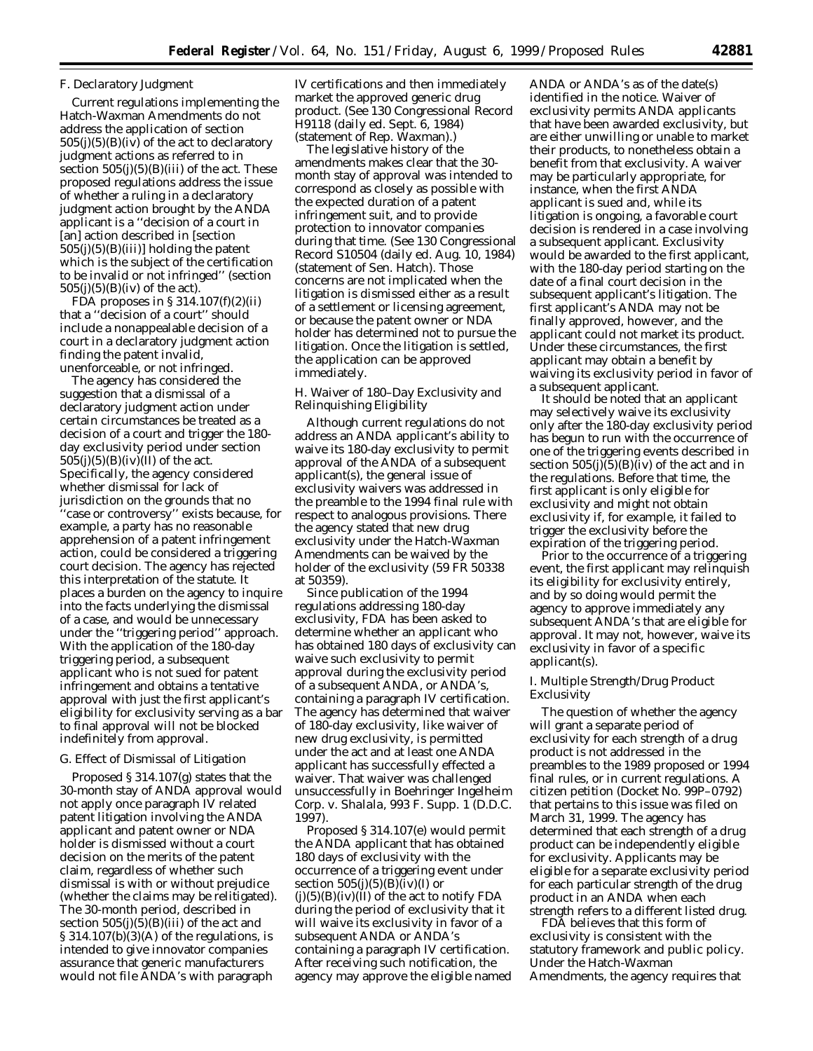### *F. Declaratory Judgment*

Current regulations implementing the Hatch-Waxman Amendments do not address the application of section  $505(j)(5)(B)(iv)$  of the act to declaratory judgment actions as referred to in section  $505(j)(5)(B)(iii)$  of the act. These proposed regulations address the issue of whether a ruling in a declaratory judgment action brought by the ANDA applicant is a ''decision of a court in [an] action described in [section  $505(j)(5)(B)(iii)$ ] holding the patent which is the subject of the certification to be invalid or not infringed'' (section  $505(j)(5)(B)(iv)$  of the act).

FDA proposes in § 314.107(f)(2)(ii) that a ''decision of a court'' should include a nonappealable decision of a court in a declaratory judgment action finding the patent invalid, unenforceable, or not infringed.

The agency has considered the suggestion that a dismissal of a declaratory judgment action under certain circumstances be treated as a decision of a court and trigger the 180 day exclusivity period under section  $505(j)(5)(B)(iv)(II)$  of the act. Specifically, the agency considered whether dismissal for lack of jurisdiction on the grounds that no 'case or controversy'' exists because, for example, a party has no reasonable apprehension of a patent infringement action, could be considered a triggering court decision. The agency has rejected this interpretation of the statute. It places a burden on the agency to inquire into the facts underlying the dismissal of a case, and would be unnecessary under the ''triggering period'' approach. With the application of the 180-day triggering period, a subsequent applicant who is not sued for patent infringement and obtains a tentative approval with just the first applicant's eligibility for exclusivity serving as a bar to final approval will not be blocked indefinitely from approval.

### *G. Effect of Dismissal of Litigation*

Proposed § 314.107(g) states that the 30-month stay of ANDA approval would not apply once paragraph IV related patent litigation involving the ANDA applicant and patent owner or NDA holder is dismissed without a court decision on the merits of the patent claim, regardless of whether such dismissal is with or without prejudice (whether the claims may be relitigated). The 30-month period, described in section  $505(j)(5)(B)(iii)$  of the act and  $\S 314.107(b)(3)(A)$  of the regulations, is intended to give innovator companies assurance that generic manufacturers would not file ANDA's with paragraph

IV certifications and then immediately market the approved generic drug product. (See 130 Congressional Record H9118 (daily ed. Sept. 6, 1984) (statement of Rep. Waxman).)

The legislative history of the amendments makes clear that the 30 month stay of approval was intended to correspond as closely as possible with the expected duration of a patent infringement suit, and to provide protection to innovator companies during that time. (See 130 Congressional Record S10504 (daily ed. Aug. 10, 1984) (statement of Sen. Hatch). Those concerns are not implicated when the litigation is dismissed either as a result of a settlement or licensing agreement, or because the patent owner or NDA holder has determined not to pursue the litigation. Once the litigation is settled, the application can be approved immediately.

## *H. Waiver of 180–Day Exclusivity and Relinquishing Eligibility*

Although current regulations do not address an ANDA applicant's ability to waive its 180-day exclusivity to permit approval of the ANDA of a subsequent applicant(s), the general issue of exclusivity waivers was addressed in the preamble to the 1994 final rule with respect to analogous provisions. There the agency stated that new drug exclusivity under the Hatch-Waxman Amendments can be waived by the holder of the exclusivity (59 FR 50338 at 50359).

Since publication of the 1994 regulations addressing 180-day exclusivity, FDA has been asked to determine whether an applicant who has obtained 180 days of exclusivity can waive such exclusivity to permit approval during the exclusivity period of a subsequent ANDA, or ANDA's, containing a paragraph IV certification. The agency has determined that waiver of 180-day exclusivity, like waiver of new drug exclusivity, is permitted under the act and at least one ANDA applicant has successfully effected a waiver. That waiver was challenged unsuccessfully in *Boehringer Ingelheim Corp.* v. *Shalala*, 993 F. Supp. 1 (D.D.C. 1997).

Proposed § 314.107(e) would permit the ANDA applicant that has obtained 180 days of exclusivity with the occurrence of a triggering event under section  $505(j)(5)(B)(iv)(I)$  or  $(j)(5)(B)(iv)(II)$  of the act to notify FDA during the period of exclusivity that it will waive its exclusivity in favor of a subsequent ANDA or ANDA's containing a paragraph IV certification. After receiving such notification, the agency may approve the eligible named

ANDA or ANDA's as of the date(s) identified in the notice. Waiver of exclusivity permits ANDA applicants that have been awarded exclusivity, but are either unwilling or unable to market their products, to nonetheless obtain a benefit from that exclusivity. A waiver may be particularly appropriate, for instance, when the first ANDA applicant is sued and, while its litigation is ongoing, a favorable court decision is rendered in a case involving a subsequent applicant. Exclusivity would be awarded to the first applicant, with the 180-day period starting on the date of a final court decision in the subsequent applicant's litigation. The first applicant's ANDA may not be finally approved, however, and the applicant could not market its product. Under these circumstances, the first applicant may obtain a benefit by waiving its exclusivity period in favor of a subsequent applicant.

It should be noted that an applicant may selectively waive its exclusivity only after the 180-day exclusivity period has begun to run with the occurrence of one of the triggering events described in section  $505(j)(5)(B)(iv)$  of the act and in the regulations. Before that time, the first applicant is only eligible for exclusivity and might not obtain exclusivity if, for example, it failed to trigger the exclusivity before the expiration of the triggering period.

Prior to the occurrence of a triggering event, the first applicant may relinquish its eligibility for exclusivity entirely, and by so doing would permit the agency to approve immediately any subsequent ANDA's that are eligible for approval. It may not, however, waive its exclusivity in favor of a specific applicant(s).

### *I. Multiple Strength/Drug Product Exclusivity*

The question of whether the agency will grant a separate period of exclusivity for each strength of a drug product is not addressed in the preambles to the 1989 proposed or 1994 final rules, or in current regulations. A citizen petition (Docket No. 99P–0792) that pertains to this issue was filed on March 31, 1999. The agency has determined that each strength of a drug product can be independently eligible for exclusivity. Applicants may be eligible for a separate exclusivity period for each particular strength of the drug product in an ANDA when each strength refers to a different listed drug.

FDA believes that this form of exclusivity is consistent with the statutory framework and public policy. Under the Hatch-Waxman Amendments, the agency requires that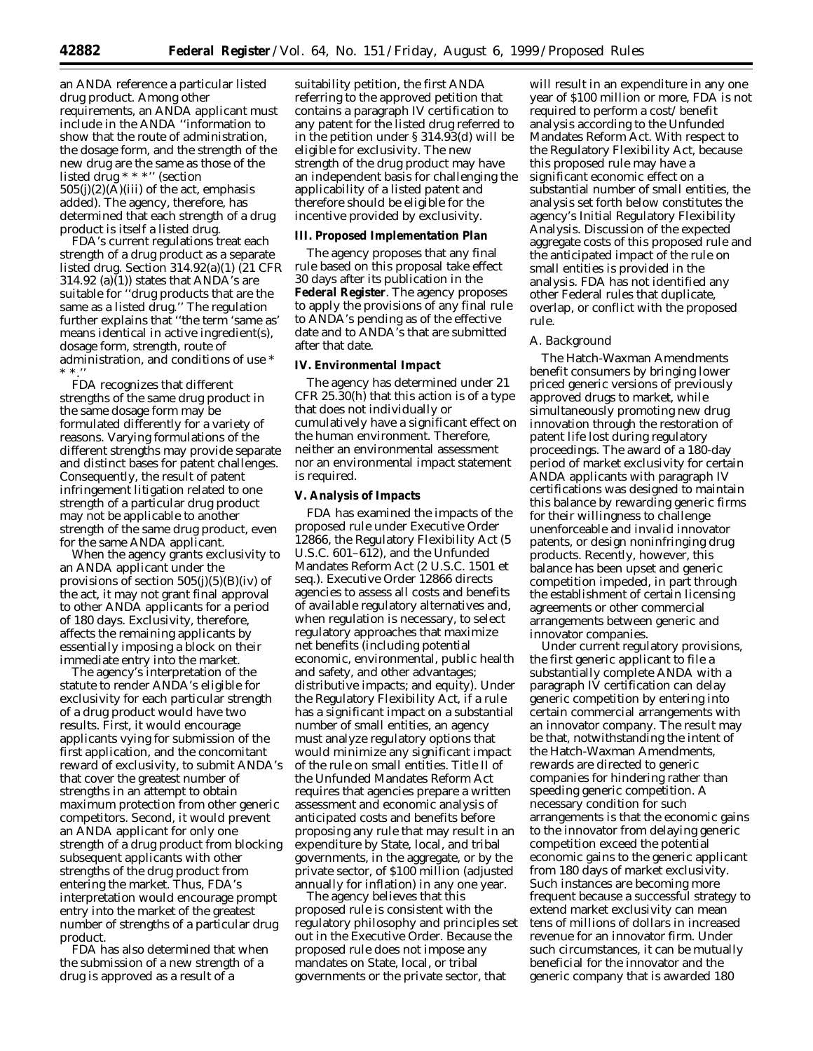an ANDA reference a particular listed drug product. Among other requirements, an ANDA applicant must include in the ANDA ''information to show that the route of administration, the dosage form, and the *strength* of the new drug are the same as those of the listed drug \* \* \*'' (section  $505(j)(2)(A)(iii)$  of the act, emphasis added). The agency, therefore, has determined that each strength of a drug product is itself a listed drug.

FDA's current regulations treat each strength of a drug product as a separate listed drug. Section 314.92(a)(1) (21 CFR 314.92 (a)(1)) states that ANDA's are suitable for ''drug products that are the same as a listed drug.'' The regulation further explains that ''the term 'same as' means identical in active ingredient(s), dosage form, strength, route of administration, and conditions of use \* \* \*.''

FDA recognizes that different strengths of the same drug product in the same dosage form may be formulated differently for a variety of reasons. Varying formulations of the different strengths may provide separate and distinct bases for patent challenges. Consequently, the result of patent infringement litigation related to one strength of a particular drug product may not be applicable to another strength of the same drug product, even for the same ANDA applicant.

When the agency grants exclusivity to an ANDA applicant under the provisions of section  $505(j)(5)(B)(iv)$  of the act, it may not grant final approval to other ANDA applicants for a period of 180 days. Exclusivity, therefore, affects the remaining applicants by essentially imposing a block on their immediate entry into the market.

The agency's interpretation of the statute to render ANDA's eligible for exclusivity for each particular strength of a drug product would have two results. First, it would encourage applicants vying for submission of the first application, and the concomitant reward of exclusivity, to submit ANDA's that cover the greatest number of strengths in an attempt to obtain maximum protection from other generic competitors. Second, it would prevent an ANDA applicant for only one strength of a drug product from blocking subsequent applicants with other strengths of the drug product from entering the market. Thus, FDA's interpretation would encourage prompt entry into the market of the greatest number of strengths of a particular drug product.

FDA has also determined that when the submission of a new strength of a drug is approved as a result of a

suitability petition, the first ANDA referring to the approved petition that contains a paragraph IV certification to any patent for the listed drug referred to in the petition under § 314.93(d) will be eligible for exclusivity. The new strength of the drug product may have an independent basis for challenging the applicability of a listed patent and therefore should be eligible for the incentive provided by exclusivity.

#### **III. Proposed Implementation Plan**

The agency proposes that any final rule based on this proposal take effect 30 days after its publication in the **Federal Register**. The agency proposes to apply the provisions of any final rule to ANDA's pending as of the effective date and to ANDA's that are submitted after that date.

#### **IV. Environmental Impact**

The agency has determined under 21 CFR 25.30(h) that this action is of a type that does not individually or cumulatively have a significant effect on the human environment. Therefore, neither an environmental assessment nor an environmental impact statement is required.

### **V. Analysis of Impacts**

FDA has examined the impacts of the proposed rule under Executive Order 12866, the Regulatory Flexibility Act (5 U.S.C. 601–612), and the Unfunded Mandates Reform Act (2 U.S.C. 1501 *et seq*.). Executive Order 12866 directs agencies to assess all costs and benefits of available regulatory alternatives and, when regulation is necessary, to select regulatory approaches that maximize net benefits (including potential economic, environmental, public health and safety, and other advantages; distributive impacts; and equity). Under the Regulatory Flexibility Act, if a rule has a significant impact on a substantial number of small entities, an agency must analyze regulatory options that would minimize any significant impact of the rule on small entities. Title II of the Unfunded Mandates Reform Act requires that agencies prepare a written assessment and economic analysis of anticipated costs and benefits before proposing any rule that may result in an expenditure by State, local, and tribal governments, in the aggregate, or by the private sector, of \$100 million (adjusted annually for inflation) in any one year.

The agency believes that this proposed rule is consistent with the regulatory philosophy and principles set out in the Executive Order. Because the proposed rule does not impose any mandates on State, local, or tribal governments or the private sector, that

will result in an expenditure in any one year of \$100 million or more, FDA is not required to perform a cost/ benefit analysis according to the Unfunded Mandates Reform Act. With respect to the Regulatory Flexibility Act, because this proposed rule may have a significant economic effect on a substantial number of small entities, the analysis set forth below constitutes the agency's Initial Regulatory Flexibility Analysis. Discussion of the expected aggregate costs of this proposed rule and the anticipated impact of the rule on small entities is provided in the analysis. FDA has not identified any other Federal rules that duplicate, overlap, or conflict with the proposed rule.

#### *A. Background*

The Hatch-Waxman Amendments benefit consumers by bringing lower priced generic versions of previously approved drugs to market, while simultaneously promoting new drug innovation through the restoration of patent life lost during regulatory proceedings. The award of a 180-day period of market exclusivity for certain ANDA applicants with paragraph IV certifications was designed to maintain this balance by rewarding generic firms for their willingness to challenge unenforceable and invalid innovator patents, or design noninfringing drug products. Recently, however, this balance has been upset and generic competition impeded, in part through the establishment of certain licensing agreements or other commercial arrangements between generic and innovator companies.

Under current regulatory provisions, the first generic applicant to file a substantially complete ANDA with a paragraph IV certification can delay generic competition by entering into certain commercial arrangements with an innovator company. The result may be that, notwithstanding the intent of the Hatch-Waxman Amendments, rewards are directed to generic companies for hindering rather than speeding generic competition. A necessary condition for such arrangements is that the economic gains to the innovator from delaying generic competition exceed the potential economic gains to the generic applicant from 180 days of market exclusivity. Such instances are becoming more frequent because a successful strategy to extend market exclusivity can mean tens of millions of dollars in increased revenue for an innovator firm. Under such circumstances, it can be mutually beneficial for the innovator and the generic company that is awarded 180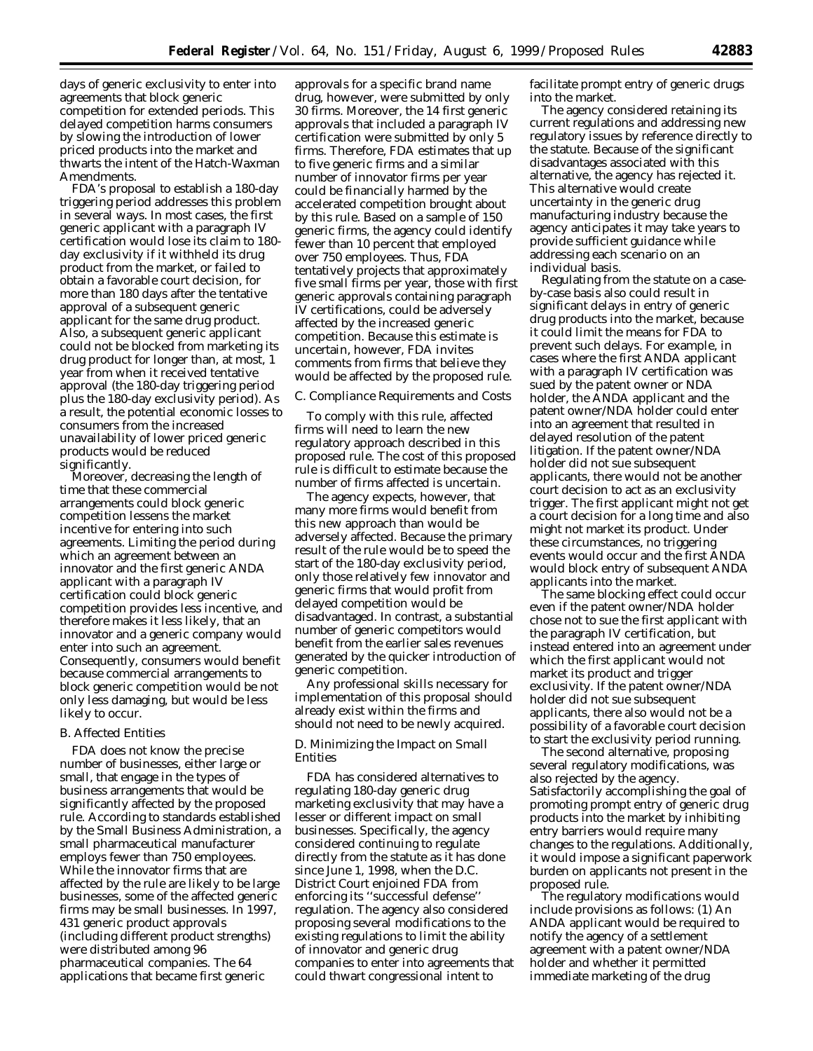days of generic exclusivity to enter into agreements that block generic competition for extended periods. This delayed competition harms consumers by slowing the introduction of lower priced products into the market and thwarts the intent of the Hatch-Waxman Amendments.

FDA's proposal to establish a 180-day triggering period addresses this problem in several ways. In most cases, the first generic applicant with a paragraph IV certification would lose its claim to 180 day exclusivity if it withheld its drug product from the market, or failed to obtain a favorable court decision, for more than 180 days after the tentative approval of a subsequent generic applicant for the same drug product. Also, a subsequent generic applicant could not be blocked from marketing its drug product for longer than, at most, 1 year from when it received tentative approval (the 180-day triggering period plus the 180-day exclusivity period). As a result, the potential economic losses to consumers from the increased unavailability of lower priced generic products would be reduced significantly.

Moreover, decreasing the length of time that these commercial arrangements could block generic competition lessens the market incentive for entering into such agreements. Limiting the period during which an agreement between an innovator and the first generic ANDA applicant with a paragraph IV certification could block generic competition provides less incentive, and therefore makes it less likely, that an innovator and a generic company would enter into such an agreement. Consequently, consumers would benefit because commercial arrangements to block generic competition would be not only less damaging, but would be less likely to occur.

#### *B. Affected Entities*

FDA does not know the precise number of businesses, either large or small, that engage in the types of business arrangements that would be significantly affected by the proposed rule. According to standards established by the Small Business Administration, a small pharmaceutical manufacturer employs fewer than 750 employees. While the innovator firms that are affected by the rule are likely to be large businesses, some of the affected generic firms may be small businesses. In 1997, 431 generic product approvals (including different product strengths) were distributed among 96 pharmaceutical companies. The 64 applications that became first generic

approvals for a specific brand name drug, however, were submitted by only 30 firms. Moreover, the 14 first generic approvals that included a paragraph IV certification were submitted by only 5 firms. Therefore, FDA estimates that up to five generic firms and a similar number of innovator firms per year could be financially harmed by the accelerated competition brought about by this rule. Based on a sample of 150 generic firms, the agency could identify fewer than 10 percent that employed over 750 employees. Thus, FDA tentatively projects that approximately five small firms per year, those with first generic approvals containing paragraph IV certifications, could be adversely affected by the increased generic competition. Because this estimate is uncertain, however, FDA invites comments from firms that believe they would be affected by the proposed rule.

#### *C. Compliance Requirements and Costs*

To comply with this rule, affected firms will need to learn the new regulatory approach described in this proposed rule. The cost of this proposed rule is difficult to estimate because the number of firms affected is uncertain.

The agency expects, however, that many more firms would benefit from this new approach than would be adversely affected. Because the primary result of the rule would be to speed the start of the 180-day exclusivity period, only those relatively few innovator and generic firms that would profit from delayed competition would be disadvantaged. In contrast, a substantial number of generic competitors would benefit from the earlier sales revenues generated by the quicker introduction of generic competition.

Any professional skills necessary for implementation of this proposal should already exist within the firms and should not need to be newly acquired.

### *D. Minimizing the Impact on Small Entities*

FDA has considered alternatives to regulating 180-day generic drug marketing exclusivity that may have a lesser or different impact on small businesses. Specifically, the agency considered continuing to regulate directly from the statute as it has done since June 1, 1998, when the D.C. District Court enjoined FDA from enforcing its ''successful defense'' regulation. The agency also considered proposing several modifications to the existing regulations to limit the ability of innovator and generic drug companies to enter into agreements that could thwart congressional intent to

facilitate prompt entry of generic drugs into the market.

The agency considered retaining its current regulations and addressing new regulatory issues by reference directly to the statute. Because of the significant disadvantages associated with this alternative, the agency has rejected it. This alternative would create uncertainty in the generic drug manufacturing industry because the agency anticipates it may take years to provide sufficient guidance while addressing each scenario on an individual basis.

Regulating from the statute on a caseby-case basis also could result in significant delays in entry of generic drug products into the market, because it could limit the means for FDA to prevent such delays. For example, in cases where the first ANDA applicant with a paragraph IV certification was sued by the patent owner or NDA holder, the ANDA applicant and the patent owner/NDA holder could enter into an agreement that resulted in delayed resolution of the patent litigation. If the patent owner/NDA holder did not sue subsequent applicants, there would not be another court decision to act as an exclusivity trigger. The first applicant might not get a court decision for a long time and also might not market its product. Under these circumstances, no triggering events would occur and the first ANDA would block entry of subsequent ANDA applicants into the market.

The same blocking effect could occur even if the patent owner/NDA holder chose not to sue the first applicant with the paragraph IV certification, but instead entered into an agreement under which the first applicant would not market its product and trigger exclusivity. If the patent owner/NDA holder did not sue subsequent applicants, there also would not be a possibility of a favorable court decision to start the exclusivity period running.

The second alternative, proposing several regulatory modifications, was also rejected by the agency. Satisfactorily accomplishing the goal of promoting prompt entry of generic drug products into the market by inhibiting entry barriers would require many changes to the regulations. Additionally, it would impose a significant paperwork burden on applicants not present in the proposed rule.

The regulatory modifications would include provisions as follows: (1) An ANDA applicant would be required to notify the agency of a settlement agreement with a patent owner/NDA holder and whether it permitted immediate marketing of the drug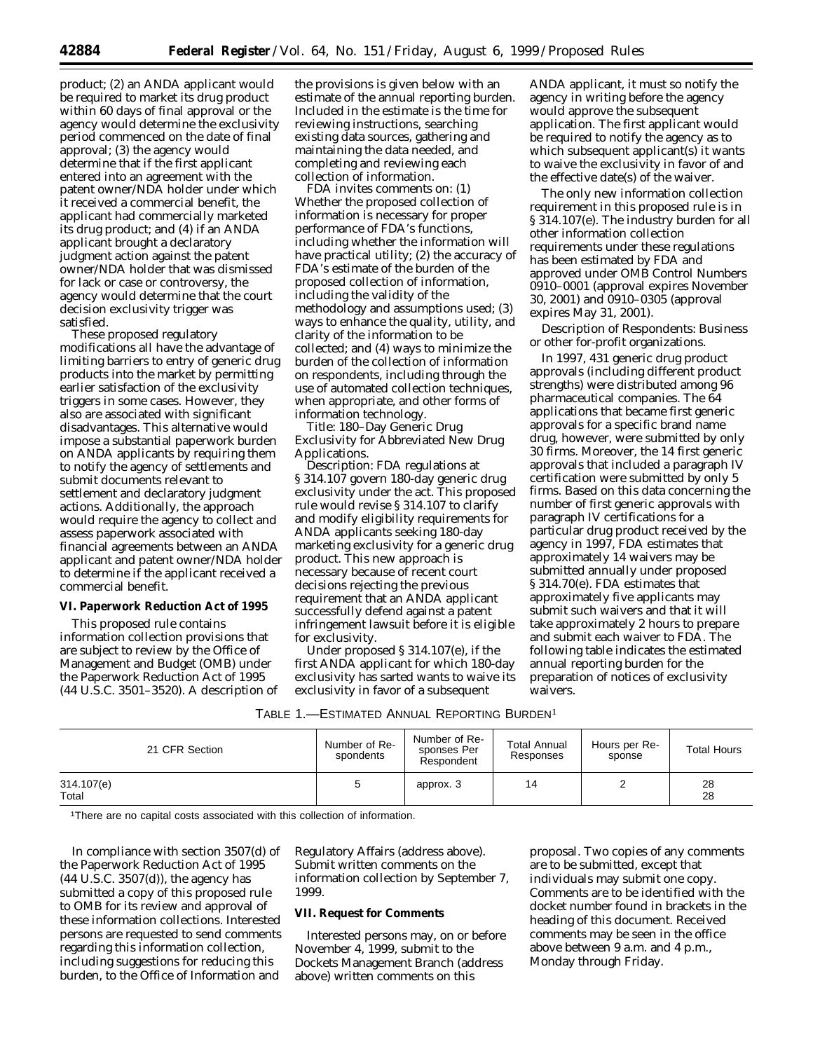product; (2) an ANDA applicant would be required to market its drug product within 60 days of final approval or the agency would determine the exclusivity period commenced on the date of final approval; (3) the agency would determine that if the first applicant entered into an agreement with the patent owner/NDA holder under which it received a commercial benefit, the applicant had commercially marketed its drug product; and (4) if an ANDA applicant brought a declaratory judgment action against the patent owner/NDA holder that was dismissed for lack or case or controversy, the agency would determine that the court decision exclusivity trigger was satisfied.

These proposed regulatory modifications all have the advantage of limiting barriers to entry of generic drug products into the market by permitting earlier satisfaction of the exclusivity triggers in some cases. However, they also are associated with significant disadvantages. This alternative would impose a substantial paperwork burden on ANDA applicants by requiring them to notify the agency of settlements and submit documents relevant to settlement and declaratory judgment actions. Additionally, the approach would require the agency to collect and assess paperwork associated with financial agreements between an ANDA applicant and patent owner/NDA holder to determine if the applicant received a commercial benefit.

## **VI. Paperwork Reduction Act of 1995**

This proposed rule contains information collection provisions that are subject to review by the Office of Management and Budget (OMB) under the Paperwork Reduction Act of 1995 (44 U.S.C. 3501–3520). A description of

the provisions is given below with an estimate of the annual reporting burden. Included in the estimate is the time for reviewing instructions, searching existing data sources, gathering and maintaining the data needed, and completing and reviewing each collection of information.

FDA invites comments on: (1) Whether the proposed collection of information is necessary for proper performance of FDA's functions, including whether the information will have practical utility; (2) the accuracy of FDA's estimate of the burden of the proposed collection of information, including the validity of the methodology and assumptions used; (3) ways to enhance the quality, utility, and clarity of the information to be collected; and (4) ways to minimize the burden of the collection of information on respondents, including through the use of automated collection techniques, when appropriate, and other forms of information technology.

*Title:* 180–Day Generic Drug Exclusivity for Abbreviated New Drug Applications.

*Description:* FDA regulations at § 314.107 govern 180-day generic drug exclusivity under the act. This proposed rule would revise § 314.107 to clarify and modify eligibility requirements for ANDA applicants seeking 180-day marketing exclusivity for a generic drug product. This new approach is necessary because of recent court decisions rejecting the previous requirement that an ANDA applicant successfully defend against a patent infringement lawsuit before it is eligible for exclusivity.

Under proposed § 314.107(e), if the first ANDA applicant for which 180-day exclusivity has sarted wants to waive its exclusivity in favor of a subsequent

ANDA applicant, it must so notify the agency in writing before the agency would approve the subsequent application. The first applicant would be required to notify the agency as to which subsequent applicant(s) it wants to waive the exclusivity in favor of and the effective date(s) of the waiver.

The only new information collection requirement in this proposed rule is in § 314.107(e). The industry burden for all other information collection requirements under these regulations has been estimated by FDA and approved under OMB Control Numbers 0910–0001 (approval expires November 30, 2001) and 0910–0305 (approval expires May 31, 2001).

*Description of Respondents:* Business or other for-profit organizations.

In 1997, 431 generic drug product approvals (including different product strengths) were distributed among 96 pharmaceutical companies. The 64 applications that became first generic approvals for a specific brand name drug, however, were submitted by only 30 firms. Moreover, the 14 first generic approvals that included a paragraph IV certification were submitted by only 5 firms. Based on this data concerning the number of first generic approvals with paragraph IV certifications for a particular drug product received by the agency in 1997, FDA estimates that approximately 14 waivers may be submitted annually under proposed § 314.70(e). FDA estimates that approximately five applicants may submit such waivers and that it will take approximately 2 hours to prepare and submit each waiver to FDA. The following table indicates the estimated annual reporting burden for the preparation of notices of exclusivity waivers.

| 21 CFR Section      | Number of Re-<br>spondents | Number of Re-<br>sponses Per<br>Respondent | <b>Total Annual</b><br>Responses | Hours per Re-<br>sponse | <b>Total Hours</b> |
|---------------------|----------------------------|--------------------------------------------|----------------------------------|-------------------------|--------------------|
| 314.107(e)<br>Total | 5                          | approx. 3                                  | 14                               |                         | 28<br>28           |

1There are no capital costs associated with this collection of information.

In compliance with section 3507(d) of the Paperwork Reduction Act of 1995  $(44 \text{ U.S.C. } 3507(d))$ , the agency has submitted a copy of this proposed rule to OMB for its review and approval of these information collections. Interested persons are requested to send comments regarding this information collection, including suggestions for reducing this burden, to the Office of Information and

Regulatory Affairs (address above). Submit written comments on the information collection by September 7, 1999.

### **VII. Request for Comments**

Interested persons may, on or before November 4, 1999, submit to the Dockets Management Branch (address above) written comments on this

proposal. Two copies of any comments are to be submitted, except that individuals may submit one copy. Comments are to be identified with the docket number found in brackets in the heading of this document. Received comments may be seen in the office above between 9 a.m. and 4 p.m., Monday through Friday.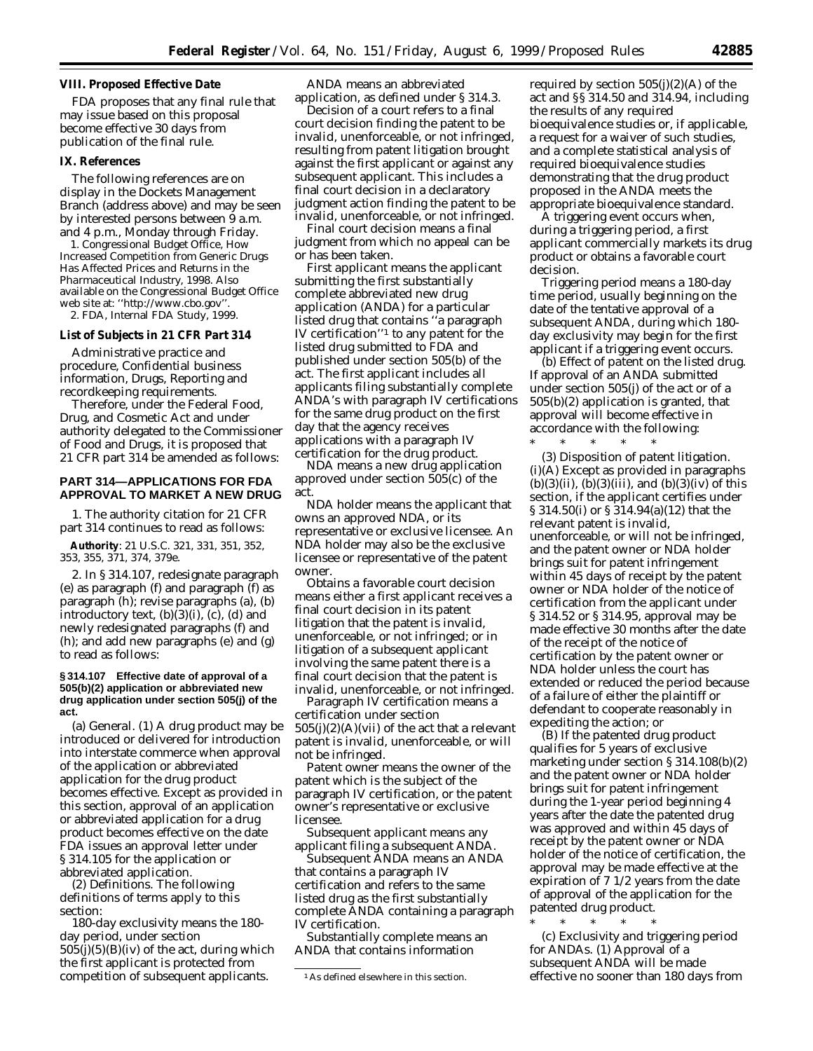#### **VIII. Proposed Effective Date**

FDA proposes that any final rule that may issue based on this proposal become effective 30 days from publication of the final rule.

### **IX. References**

The following references are on display in the Dockets Management Branch (address above) and may be seen by interested persons between 9 a.m. and 4 p.m., Monday through Friday.

1. Congressional Budget Office, *How Increased Competition from Generic Drugs Has Affected Prices and Returns in the Pharmaceutical Industry*, 1998. Also available on the Congressional Budget Office web site at: ''http://www.cbo.gov''.

2. FDA, Internal FDA Study, 1999.

# **List of Subjects in 21 CFR Part 314**

Administrative practice and procedure, Confidential business information, Drugs, Reporting and recordkeeping requirements.

Therefore, under the Federal Food, Drug, and Cosmetic Act and under authority delegated to the Commissioner of Food and Drugs, it is proposed that 21 CFR part 314 be amended as follows:

## **PART 314—APPLICATIONS FOR FDA APPROVAL TO MARKET A NEW DRUG**

1. The authority citation for 21 CFR part 314 continues to read as follows:

**Authority**: 21 U.S.C. 321, 331, 351, 352, 353, 355, 371, 374, 379e.

2. In § 314.107, redesignate paragraph (e) as paragraph (f) and paragraph (f) as paragraph (h); revise paragraphs (a), (b) introductory text,  $(b)(3)(i)$ ,  $(c)$ ,  $(d)$  and newly redesignated paragraphs (f) and (h); and add new paragraphs (e) and (g) to read as follows:

### **§ 314.107 Effective date of approval of a 505(b)(2) application or abbreviated new drug application under section 505(j) of the act.**

(a) *General*. (1) A drug product may be introduced or delivered for introduction into interstate commerce when approval of the application or abbreviated application for the drug product becomes effective. Except as provided in this section, approval of an application or abbreviated application for a drug product becomes effective on the date FDA issues an approval letter under § 314.105 for the application or abbreviated application.

(2) *Definitions*. The following definitions of terms apply to this section:

*180-day exclusivity* means the 180 day period, under section  $505(j)(5)(B)(iv)$  of the act, during which the first applicant is protected from competition of subsequent applicants.

*ANDA* means an abbreviated application, as defined under § 314.3.

*Decision of a court* refers to a final court decision finding the patent to be invalid, unenforceable, or not infringed, resulting from patent litigation brought against the first applicant or against any subsequent applicant. This includes a final court decision in a declaratory judgment action finding the patent to be invalid, unenforceable, or not infringed.

*Final court decision* means a final judgment from which no appeal can be or has been taken.

*First applicant* means the applicant submitting the first substantially complete abbreviated new drug application (ANDA) for a particular listed drug that contains ''a paragraph IV certification''1 to any patent for the listed drug submitted to FDA and published under section 505(b) of the act. The first applicant includes all applicants filing substantially complete ANDA's with paragraph IV certifications for the same drug product on the first day that the agency receives applications with a paragraph IV certification for the drug product.

*NDA* means a new drug application approved under section 505(c) of the act.

*NDA holder* means the applicant that owns an approved NDA, or its representative or exclusive licensee. An NDA holder may also be the exclusive licensee or representative of the patent owner.

*Obtains a favorable court decision* means either a first applicant receives a final court decision in its patent litigation that the patent is invalid, unenforceable, or not infringed; or in litigation of a subsequent applicant involving the same patent there is a final court decision that the patent is invalid, unenforceable, or not infringed.

*Paragraph IV certification* means a certification under section  $505(j)(2)(A)(vii)$  of the act that a relevant patent is invalid, unenforceable, or will not be infringed.

*Patent owner* means the owner of the patent which is the subject of the paragraph IV certification, or the patent owner's representative or exclusive licensee.

*Subsequent applicant* means any applicant filing a subsequent ANDA.

*Subsequent ANDA* means an ANDA that contains a paragraph IV certification and refers to the same listed drug as the first substantially complete ANDA containing a paragraph IV certification.

*Substantially complete* means an ANDA that contains information

required by section  $505(j)(2)(A)$  of the act and §§ 314.50 and 314.94, including the results of any required bioequivalence studies or, if applicable, a request for a waiver of such studies, and a complete statistical analysis of required bioequivalence studies demonstrating that the drug product proposed in the ANDA meets the appropriate bioequivalence standard.

*A triggering event* occurs when, during a triggering period, a first applicant commercially markets its drug product or obtains a favorable court decision.

*Triggering period* means a 180-day time period, usually beginning on the date of the tentative approval of a subsequent ANDA, during which 180 day exclusivity may begin for the first applicant if a triggering event occurs.

(b) *Effect of patent on the listed drug*. If approval of an ANDA submitted under section 505(j) of the act or of a 505(b)(2) application is granted, that approval will become effective in accordance with the following:

\* \* \* \* \* (3) *Disposition of patent litigation*. (i)(A) Except as provided in paragraphs  $(b)(3)(ii)$ ,  $(b)(3)(iii)$ , and  $(b)(3)(iv)$  of this section, if the applicant certifies under § 314.50(i) or § 314.94(a)(12) that the relevant patent is invalid, unenforceable, or will not be infringed, and the patent owner or NDA holder brings suit for patent infringement within 45 days of receipt by the patent owner or NDA holder of the notice of certification from the applicant under § 314.52 or § 314.95, approval may be made effective 30 months after the date of the receipt of the notice of certification by the patent owner or NDA holder unless the court has extended or reduced the period because of a failure of either the plaintiff or defendant to cooperate reasonably in expediting the action; or

(B) If the patented drug product qualifies for 5 years of exclusive marketing under section § 314.108(b)(2) and the patent owner or NDA holder brings suit for patent infringement during the 1-year period beginning 4 years after the date the patented drug was approved and within 45 days of receipt by the patent owner or NDA holder of the notice of certification, the approval may be made effective at the expiration of 7 1/2 years from the date of approval of the application for the patented drug product.

\* \* \* \* \* (c) *Exclusivity and triggering period for ANDAs*. (1) Approval of a subsequent ANDA will be made effective no sooner than 180 days from

<sup>1</sup>As defined elsewhere in this section.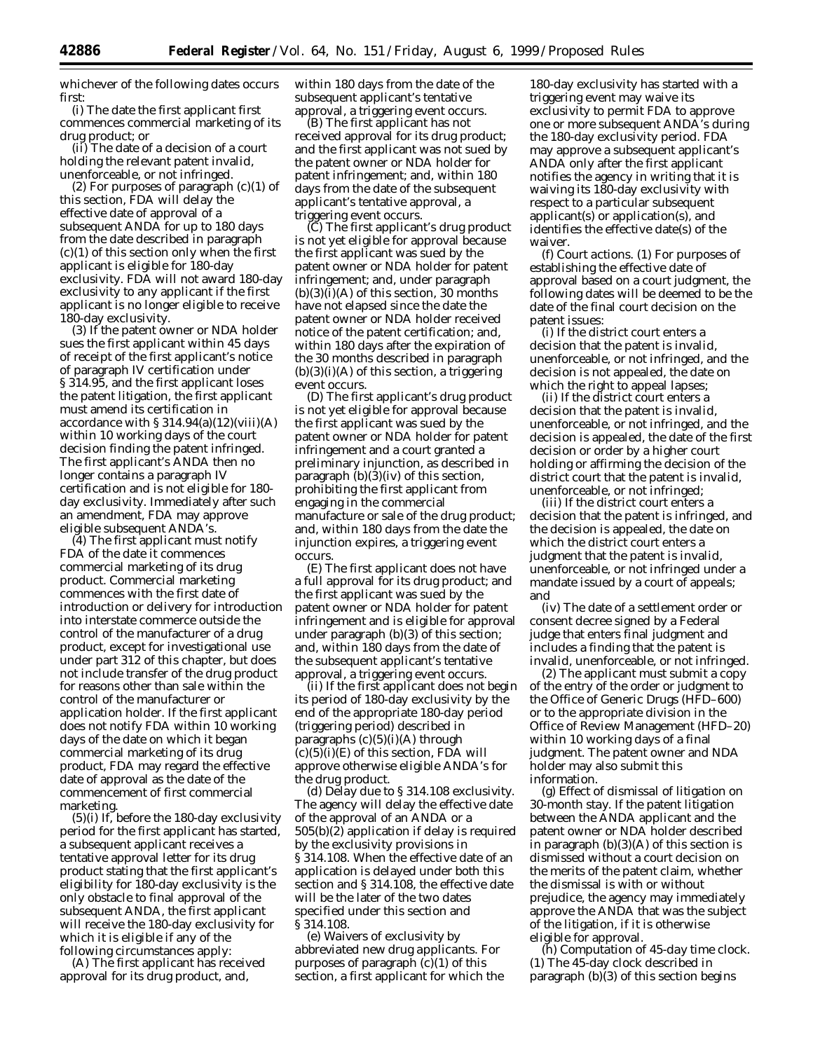whichever of the following dates occurs first:

(i) The date the first applicant first commences commercial marketing of its drug product; or

(ii) The date of a decision of a court holding the relevant patent invalid, unenforceable, or not infringed.

(2) For purposes of paragraph (c)(1) of this section, FDA will delay the effective date of approval of a subsequent ANDA for up to 180 days from the date described in paragraph  $(c)(1)$  of this section only when the first applicant is eligible for 180-day exclusivity. FDA will not award 180-day exclusivity to any applicant if the first applicant is no longer eligible to receive 180-day exclusivity.

(3) If the patent owner or NDA holder sues the first applicant within 45 days of receipt of the first applicant's notice of paragraph IV certification under § 314.95, and the first applicant loses the patent litigation, the first applicant must amend its certification in accordance with  $\S 314.94(a)(12)(viii)(A)$ within 10 working days of the court decision finding the patent infringed. The first applicant's ANDA then no longer contains a paragraph IV certification and is not eligible for 180 day exclusivity. Immediately after such an amendment, FDA may approve eligible subsequent ANDA's.

(4) The first applicant must notify FDA of the date it commences commercial marketing of its drug product. Commercial marketing commences with the first date of introduction or delivery for introduction into interstate commerce outside the control of the manufacturer of a drug product, except for investigational use under part 312 of this chapter, but does not include transfer of the drug product for reasons other than sale within the control of the manufacturer or application holder. If the first applicant does not notify FDA within 10 working days of the date on which it began commercial marketing of its drug product, FDA may regard the effective date of approval as the date of the commencement of first commercial marketing.

 $(5)(i)$  If, before the 180-day exclusivity period for the first applicant has started, a subsequent applicant receives a tentative approval letter for its drug product stating that the first applicant's eligibility for 180-day exclusivity is the only obstacle to final approval of the subsequent ANDA, the first applicant will receive the 180-day exclusivity for which it is eligible if any of the following circumstances apply:

(A) The first applicant has received approval for its drug product, and,

within 180 days from the date of the subsequent applicant's tentative approval, a triggering event occurs.

(B) The first applicant has not received approval for its drug product; and the first applicant was not sued by the patent owner or NDA holder for patent infringement; and, within 180 days from the date of the subsequent applicant's tentative approval, a triggering event occurs.

(C) The first applicant's drug product is not yet eligible for approval because the first applicant was sued by the patent owner or NDA holder for patent infringement; and, under paragraph  $(b)(3)(i)(A)$  of this section, 30 months have not elapsed since the date the patent owner or NDA holder received notice of the patent certification; and, within 180 days after the expiration of the 30 months described in paragraph  $(b)(3)(i)(A)$  of this section, a triggering event occurs.

(D) The first applicant's drug product is not yet eligible for approval because the first applicant was sued by the patent owner or NDA holder for patent infringement and a court granted a preliminary injunction, as described in paragraph  $(b)(3)(iv)$  of this section, prohibiting the first applicant from engaging in the commercial manufacture or sale of the drug product; and, within 180 days from the date the injunction expires, a triggering event occurs.

(E) The first applicant does not have a full approval for its drug product; and the first applicant was sued by the patent owner or NDA holder for patent infringement and is eligible for approval under paragraph (b)(3) of this section; and, within 180 days from the date of the subsequent applicant's tentative approval, a triggering event occurs.

(ii) If the first applicant does not begin its period of 180-day exclusivity by the end of the appropriate 180-day period (triggering period) described in paragraphs  $(c)(5)(i)(A)$  through  $(c)(5)(i)(E)$  of this section, FDA will approve otherwise eligible ANDA's for the drug product.

(d) *Delay due to § 314.108 exclusivity*. The agency will delay the effective date of the approval of an ANDA or a 505(b)(2) application if delay is required by the exclusivity provisions in § 314.108. When the effective date of an application is delayed under both this section and § 314.108, the effective date will be the later of the two dates specified under this section and § 314.108.

(e) *Waivers of exclusivity by abbreviated new drug applicants*. For purposes of paragraph  $(c)(1)$  of this section, a first applicant for which the

180-day exclusivity has started with a triggering event may waive its exclusivity to permit FDA to approve one or more subsequent ANDA's during the 180-day exclusivity period. FDA may approve a subsequent applicant's ANDA only after the first applicant notifies the agency in writing that it is waiving its 180-day exclusivity with respect to a particular subsequent applicant(s) or application(s), and identifies the effective date(s) of the waiver.

(f) *Court actions*. (1) For purposes of establishing the effective date of approval based on a court judgment, the following dates will be deemed to be the date of the final court decision on the patent issues:

(i) If the district court enters a decision that the patent is invalid, unenforceable, or not infringed, and the decision is not appealed, the date on which the right to appeal lapses;

(ii) If the district court enters a decision that the patent is invalid, unenforceable, or not infringed, and the decision is appealed, the date of the first decision or order by a higher court holding or affirming the decision of the district court that the patent is invalid, unenforceable, or not infringed;

(iii) If the district court enters a decision that the patent is infringed, and the decision is appealed, the date on which the district court enters a judgment that the patent is invalid, unenforceable, or not infringed under a mandate issued by a court of appeals; and

(iv) The date of a settlement order or consent decree signed by a Federal judge that enters final judgment and includes a finding that the patent is invalid, unenforceable, or not infringed.

(2) The applicant must submit a copy of the entry of the order or judgment to the Office of Generic Drugs (HFD–600) or to the appropriate division in the Office of Review Management (HFD–20) within 10 working days of a final judgment. The patent owner and NDA holder may also submit this information.

(g) *Effect of dismissal of litigation on 30-month stay*. If the patent litigation between the ANDA applicant and the patent owner or NDA holder described in paragraph  $(b)(3)(A)$  of this section is dismissed without a court decision on the merits of the patent claim, whether the dismissal is with or without prejudice, the agency may immediately approve the ANDA that was the subject of the litigation, if it is otherwise eligible for approval.

(h) *Computation of 45-day time clock*. (1) The 45-day clock described in paragraph (b)(3) of this section begins